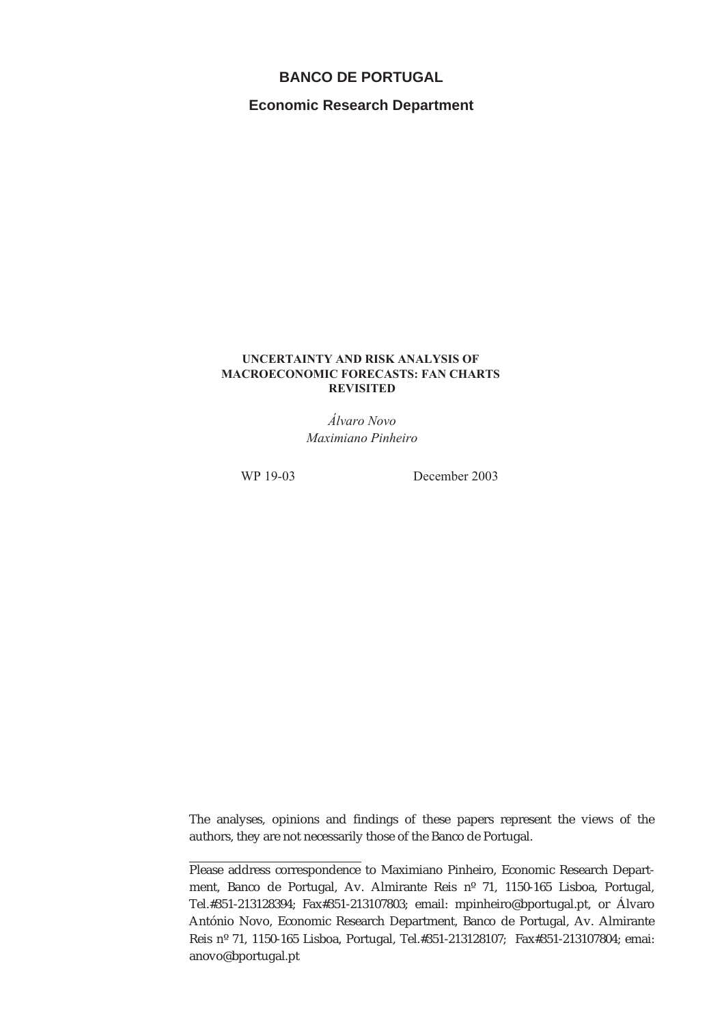#### **BANCO DE PORTUGAL**

**Economic Research Department**

#### **UNCERTAINTY AND RISK ANALYSIS OF MACROECONOMIC FORECASTS: FAN CHARTS REVISITED**

*Álvaro Novo Maximiano Pinheiro*

WP 19-03 December 2003

The analyses, opinions and findings of these papers represent the views of the authors, they are not necessarily those of the Banco de Portugal.

Please address correspondence to Maximiano Pinheiro, Economic Research Department, Banco de Portugal, Av. Almirante Reis nº 71, 1150-165 Lisboa, Portugal, Tel.#351-213128394; Fax#351-213107803; email: mpinheiro@bportugal.pt, or Álvaro António Novo, Economic Research Department, Banco de Portugal, Av. Almirante Reis nº 71, 1150-165 Lisboa, Portugal, Tel.#351-213128107; Fax#351-213107804; emai: anovo@bportugal.pt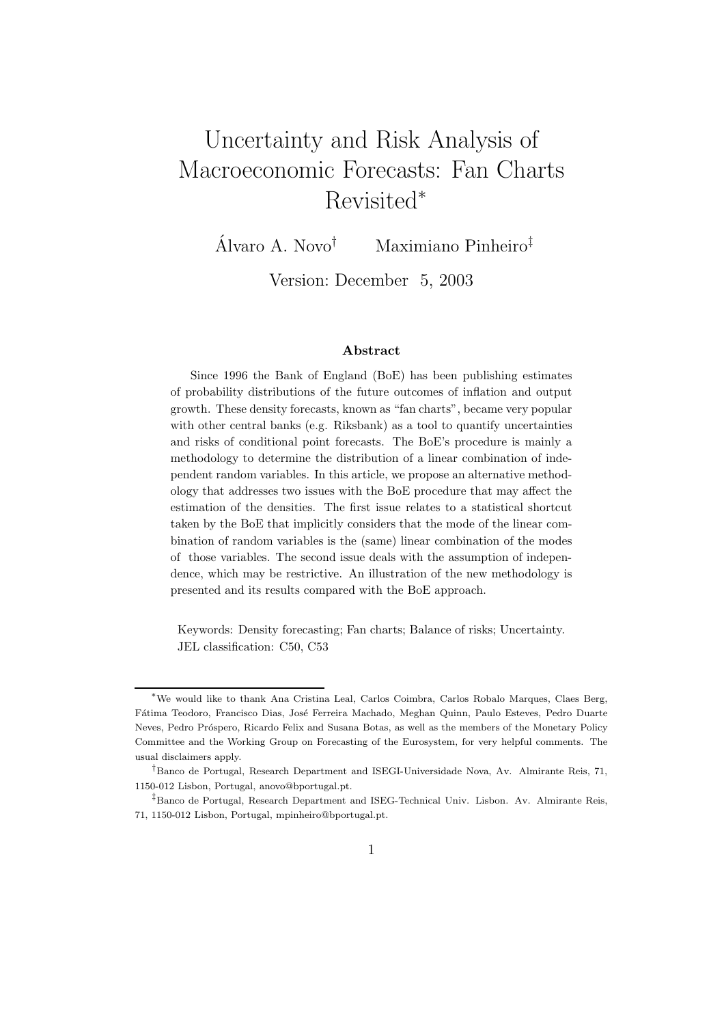# Uncertainty and Risk Analysis of Macroeconomic Forecasts: Fan Charts Revisited<sup>∗</sup>

Álvaro A. Novo<sup>†</sup> Maximiano Pinheiro<sup>‡</sup>

Version: December 5, 2003

#### Abstract

Since 1996 the Bank of England (BoE) has been publishing estimates of probability distributions of the future outcomes of inflation and output growth. These density forecasts, known as "fan charts", became very popular with other central banks (e.g. Riksbank) as a tool to quantify uncertainties and risks of conditional point forecasts. The BoE's procedure is mainly a methodology to determine the distribution of a linear combination of independent random variables. In this article, we propose an alternative methodology that addresses two issues with the BoE procedure that may affect the estimation of the densities. The first issue relates to a statistical shortcut taken by the BoE that implicitly considers that the mode of the linear combination of random variables is the (same) linear combination of the modes of those variables. The second issue deals with the assumption of independence, which may be restrictive. An illustration of the new methodology is presented and its results compared with the BoE approach.

Keywords: Density forecasting; Fan charts; Balance of risks; Uncertainty. JEL classification: C50, C53

<sup>∗</sup>We would like to thank Ana Cristina Leal, Carlos Coimbra, Carlos Robalo Marques, Claes Berg, Fátima Teodoro, Francisco Dias, José Ferreira Machado, Meghan Quinn, Paulo Esteves, Pedro Duarte Neves, Pedro Próspero, Ricardo Felix and Susana Botas, as well as the members of the Monetary Policy Committee and the Working Group on Forecasting of the Eurosystem, for very helpful comments. The usual disclaimers apply.

<sup>†</sup>Banco de Portugal, Research Department and ISEGI-Universidade Nova, Av. Almirante Reis, 71, 1150-012 Lisbon, Portugal, anovo@bportugal.pt.

<sup>‡</sup>Banco de Portugal, Research Department and ISEG-Technical Univ. Lisbon. Av. Almirante Reis, 71, 1150-012 Lisbon, Portugal, mpinheiro@bportugal.pt.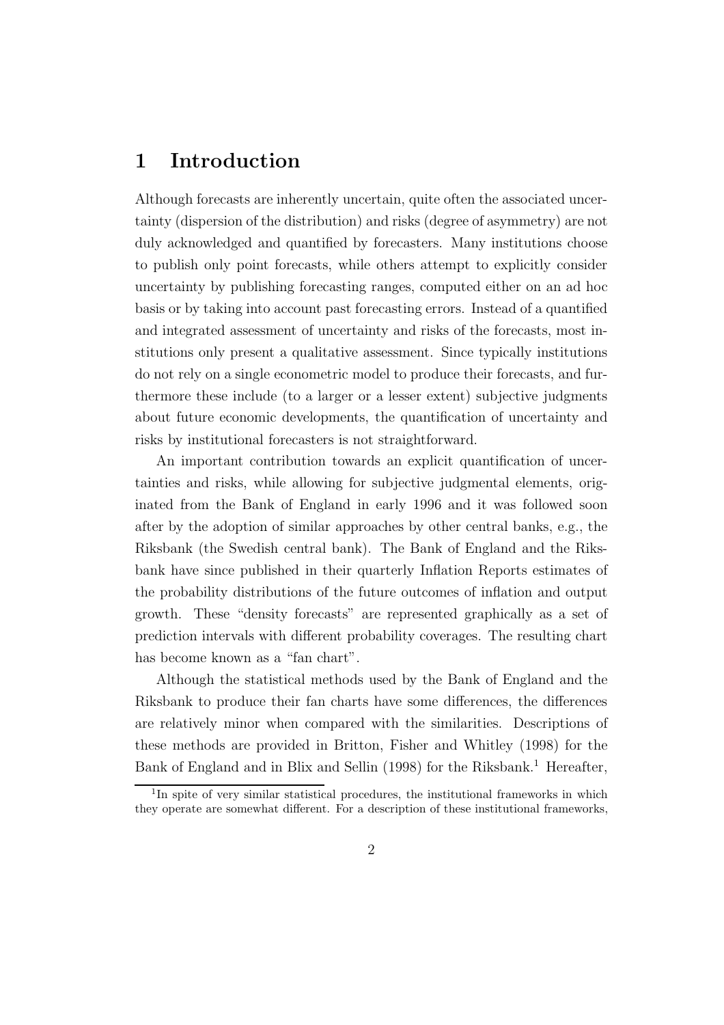### 1 Introduction

Although forecasts are inherently uncertain, quite often the associated uncertainty (dispersion of the distribution) and risks (degree of asymmetry) are not duly acknowledged and quantified by forecasters. Many institutions choose to publish only point forecasts, while others attempt to explicitly consider uncertainty by publishing forecasting ranges, computed either on an ad hoc basis or by taking into account past forecasting errors. Instead of a quantified and integrated assessment of uncertainty and risks of the forecasts, most institutions only present a qualitative assessment. Since typically institutions do not rely on a single econometric model to produce their forecasts, and furthermore these include (to a larger or a lesser extent) subjective judgments about future economic developments, the quantification of uncertainty and risks by institutional forecasters is not straightforward.

An important contribution towards an explicit quantification of uncertainties and risks, while allowing for subjective judgmental elements, originated from the Bank of England in early 1996 and it was followed soon after by the adoption of similar approaches by other central banks, e.g., the Riksbank (the Swedish central bank). The Bank of England and the Riksbank have since published in their quarterly Inflation Reports estimates of the probability distributions of the future outcomes of inflation and output growth. These "density forecasts" are represented graphically as a set of prediction intervals with different probability coverages. The resulting chart has become known as a "fan chart".

Although the statistical methods used by the Bank of England and the Riksbank to produce their fan charts have some differences, the differences are relatively minor when compared with the similarities. Descriptions of these methods are provided in Britton, Fisher and Whitley (1998) for the Bank of England and in Blix and Sellin (1998) for the Riksbank.<sup>1</sup> Hereafter,

<sup>&</sup>lt;sup>1</sup>In spite of very similar statistical procedures, the institutional frameworks in which they operate are somewhat different. For a description of these institutional frameworks,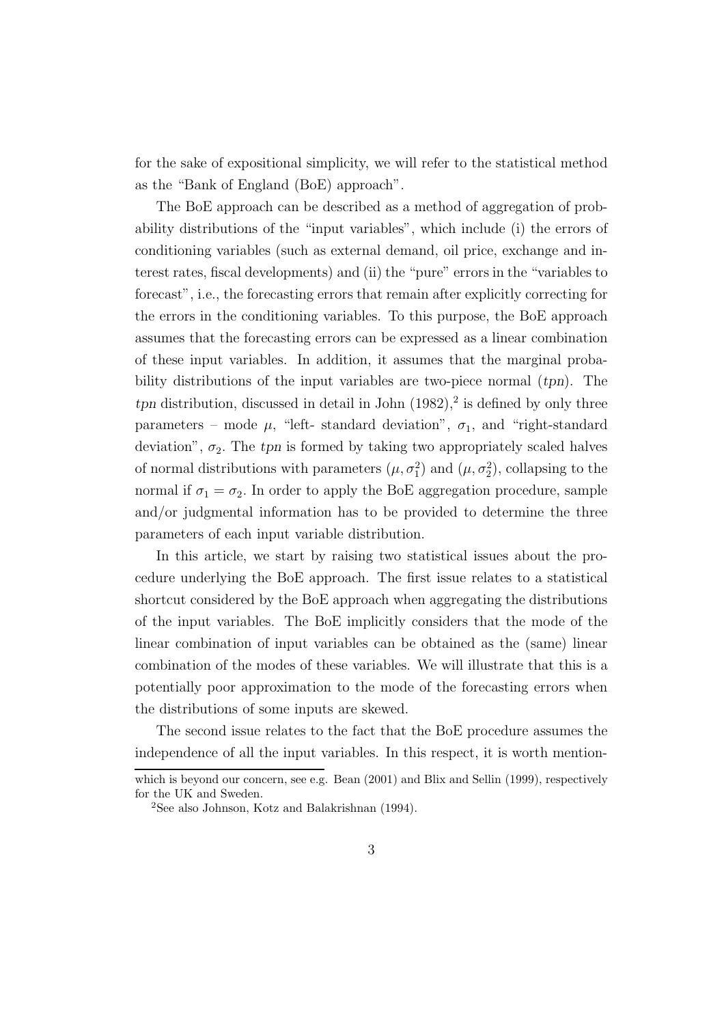for the sake of expositional simplicity, we will refer to the statistical method as the "Bank of England (BoE) approach".

The BoE approach can be described as a method of aggregation of probability distributions of the "input variables", which include (i) the errors of conditioning variables (such as external demand, oil price, exchange and interest rates, fiscal developments) and (ii) the "pure" errors in the "variables to forecast", i.e., the forecasting errors that remain after explicitly correcting for the errors in the conditioning variables. To this purpose, the BoE approach assumes that the forecasting errors can be expressed as a linear combination of these input variables. In addition, it assumes that the marginal probability distributions of the input variables are two-piece normal (tpn). The  $tpn$  distribution, discussed in detail in John  $(1982)$ ,<sup>2</sup> is defined by only three parameters – mode  $\mu$ , "left-standard deviation",  $\sigma_1$ , and "right-standard deviation",  $\sigma_2$ . The tpn is formed by taking two appropriately scaled halves of normal distributions with parameters  $(\mu, \sigma_1^2)$  and  $(\mu, \sigma_2^2)$ , collapsing to the normal if  $\sigma_1 = \sigma_2$ . In order to apply the BoE aggregation procedure, sample and/or judgmental information has to be provided to determine the three parameters of each input variable distribution.

In this article, we start by raising two statistical issues about the procedure underlying the BoE approach. The first issue relates to a statistical shortcut considered by the BoE approach when aggregating the distributions of the input variables. The BoE implicitly considers that the mode of the linear combination of input variables can be obtained as the (same) linear combination of the modes of these variables. We will illustrate that this is a potentially poor approximation to the mode of the forecasting errors when the distributions of some inputs are skewed.

The second issue relates to the fact that the BoE procedure assumes the independence of all the input variables. In this respect, it is worth mention-

which is beyond our concern, see e.g. Bean (2001) and Blix and Sellin (1999), respectively for the UK and Sweden.

<sup>2</sup>See also Johnson, Kotz and Balakrishnan (1994).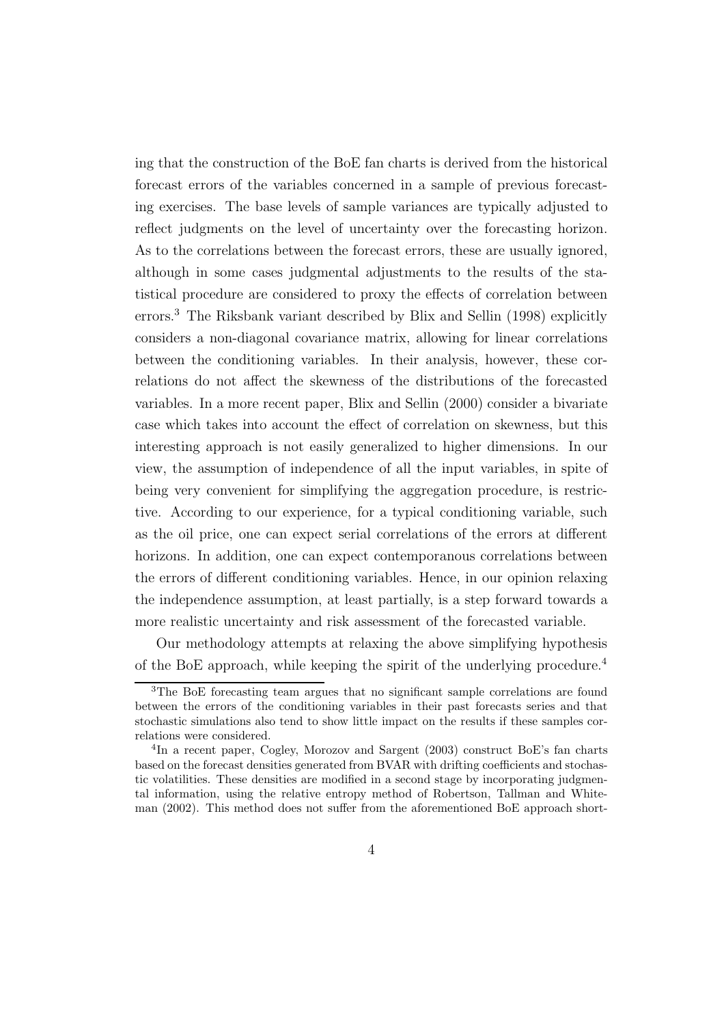ing that the construction of the BoE fan charts is derived from the historical forecast errors of the variables concerned in a sample of previous forecasting exercises. The base levels of sample variances are typically adjusted to reflect judgments on the level of uncertainty over the forecasting horizon. As to the correlations between the forecast errors, these are usually ignored, although in some cases judgmental adjustments to the results of the statistical procedure are considered to proxy the effects of correlation between errors.<sup>3</sup> The Riksbank variant described by Blix and Sellin (1998) explicitly considers a non-diagonal covariance matrix, allowing for linear correlations between the conditioning variables. In their analysis, however, these correlations do not affect the skewness of the distributions of the forecasted variables. In a more recent paper, Blix and Sellin (2000) consider a bivariate case which takes into account the effect of correlation on skewness, but this interesting approach is not easily generalized to higher dimensions. In our view, the assumption of independence of all the input variables, in spite of being very convenient for simplifying the aggregation procedure, is restrictive. According to our experience, for a typical conditioning variable, such as the oil price, one can expect serial correlations of the errors at different horizons. In addition, one can expect contemporanous correlations between the errors of different conditioning variables. Hence, in our opinion relaxing the independence assumption, at least partially, is a step forward towards a more realistic uncertainty and risk assessment of the forecasted variable.

Our methodology attempts at relaxing the above simplifying hypothesis of the BoE approach, while keeping the spirit of the underlying procedure.<sup>4</sup>

<sup>3</sup>The BoE forecasting team argues that no significant sample correlations are found between the errors of the conditioning variables in their past forecasts series and that stochastic simulations also tend to show little impact on the results if these samples correlations were considered.

<sup>4</sup> In a recent paper, Cogley, Morozov and Sargent (2003) construct BoE's fan charts based on the forecast densities generated from BVAR with drifting coefficients and stochastic volatilities. These densities are modified in a second stage by incorporating judgmental information, using the relative entropy method of Robertson, Tallman and Whiteman (2002). This method does not suffer from the aforementioned BoE approach short-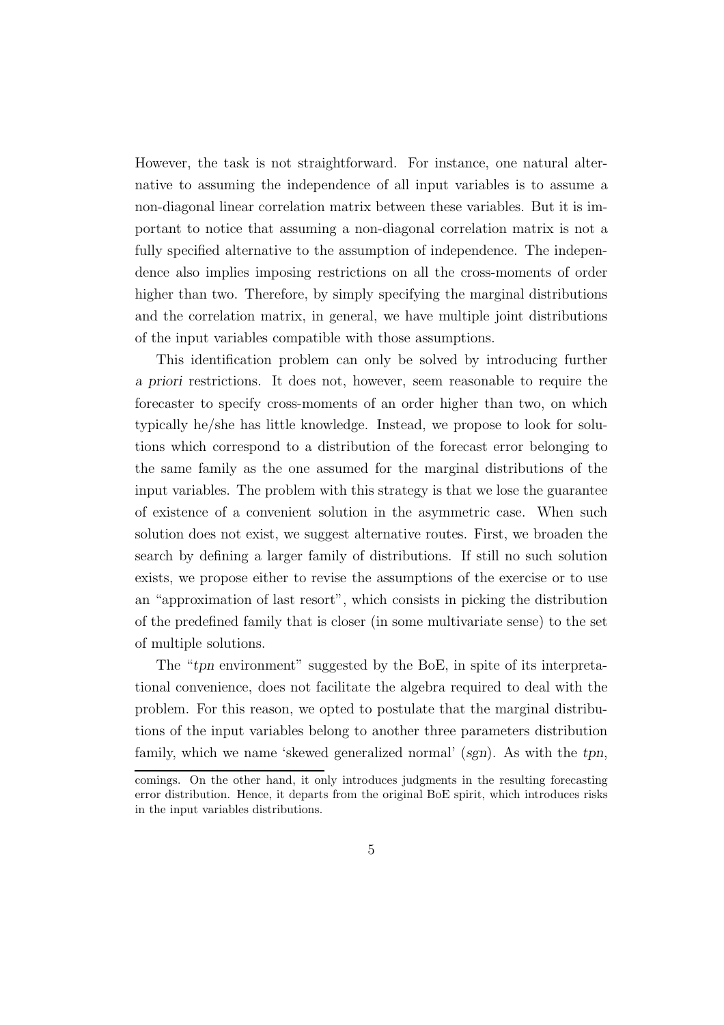However, the task is not straightforward. For instance, one natural alternative to assuming the independence of all input variables is to assume a non-diagonal linear correlation matrix between these variables. But it is important to notice that assuming a non-diagonal correlation matrix is not a fully specified alternative to the assumption of independence. The independence also implies imposing restrictions on all the cross-moments of order higher than two. Therefore, by simply specifying the marginal distributions and the correlation matrix, in general, we have multiple joint distributions of the input variables compatible with those assumptions.

This identification problem can only be solved by introducing further a priori restrictions. It does not, however, seem reasonable to require the forecaster to specify cross-moments of an order higher than two, on which typically he/she has little knowledge. Instead, we propose to look for solutions which correspond to a distribution of the forecast error belonging to the same family as the one assumed for the marginal distributions of the input variables. The problem with this strategy is that we lose the guarantee of existence of a convenient solution in the asymmetric case. When such solution does not exist, we suggest alternative routes. First, we broaden the search by defining a larger family of distributions. If still no such solution exists, we propose either to revise the assumptions of the exercise or to use an "approximation of last resort", which consists in picking the distribution of the predefined family that is closer (in some multivariate sense) to the set of multiple solutions.

The "tpn environment" suggested by the BoE, in spite of its interpretational convenience, does not facilitate the algebra required to deal with the problem. For this reason, we opted to postulate that the marginal distributions of the input variables belong to another three parameters distribution family, which we name 'skewed generalized normal' (sgn). As with the tpn,

comings. On the other hand, it only introduces judgments in the resulting forecasting error distribution. Hence, it departs from the original BoE spirit, which introduces risks in the input variables distributions.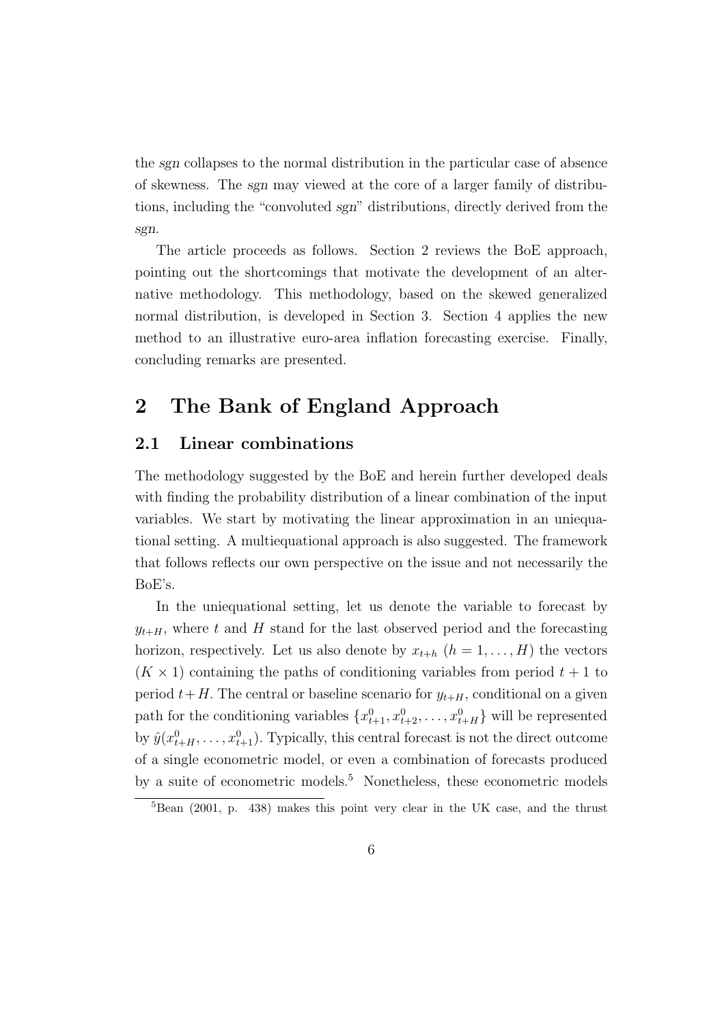the sgn collapses to the normal distribution in the particular case of absence of skewness. The sgn may viewed at the core of a larger family of distributions, including the "convoluted sgn" distributions, directly derived from the sgn.

The article proceeds as follows. Section 2 reviews the BoE approach, pointing out the shortcomings that motivate the development of an alternative methodology. This methodology, based on the skewed generalized normal distribution, is developed in Section 3. Section 4 applies the new method to an illustrative euro-area inflation forecasting exercise. Finally, concluding remarks are presented.

### 2 The Bank of England Approach

#### 2.1 Linear combinations

The methodology suggested by the BoE and herein further developed deals with finding the probability distribution of a linear combination of the input variables. We start by motivating the linear approximation in an uniequational setting. A multiequational approach is also suggested. The framework that follows reflects our own perspective on the issue and not necessarily the BoE's.

In the uniequational setting, let us denote the variable to forecast by  $y_{t+H}$ , where t and H stand for the last observed period and the forecasting horizon, respectively. Let us also denote by  $x_{t+h}$   $(h = 1, \ldots, H)$  the vectors  $(K \times 1)$  containing the paths of conditioning variables from period  $t + 1$  to period  $t+H$ . The central or baseline scenario for  $y_{t+H}$ , conditional on a given path for the conditioning variables  $\{x_{t+1}^0, x_{t+2}^0, \ldots, x_{t+H}^0\}$  will be represented by  $\hat{y}(x_{t+H}^0, \ldots, x_{t+1}^0)$ . Typically, this central forecast is not the direct outcome of a single econometric model, or even a combination of forecasts produced by a suite of econometric models.<sup>5</sup> Nonetheless, these econometric models

 $5$ Bean (2001, p. 438) makes this point very clear in the UK case, and the thrust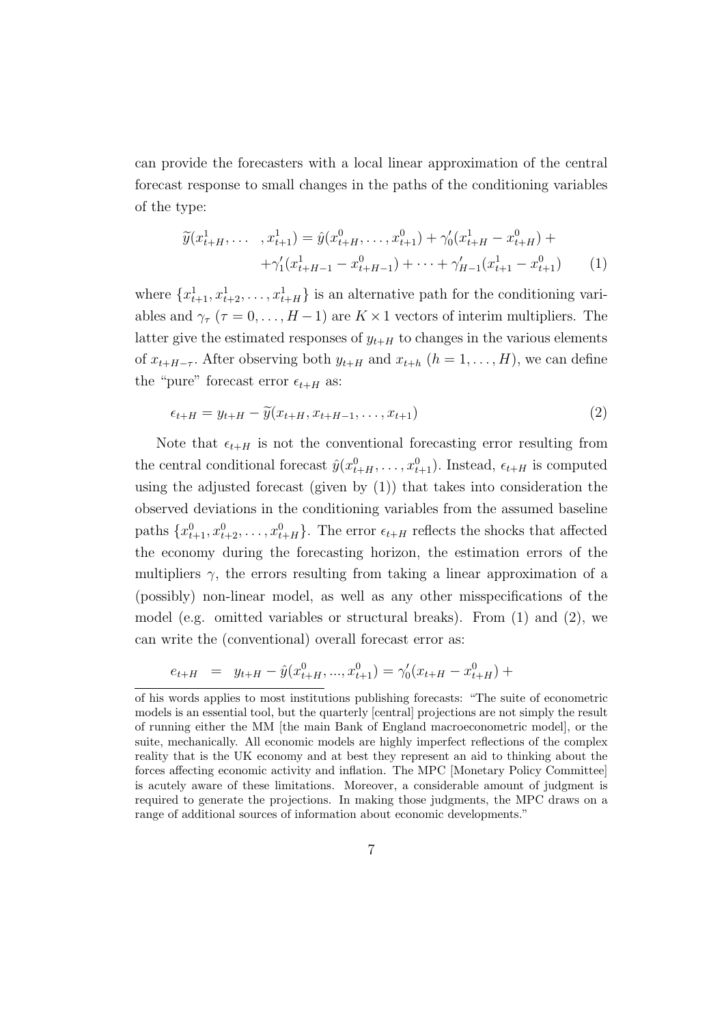can provide the forecasters with a local linear approximation of the central forecast response to small changes in the paths of the conditioning variables of the type:

$$
\widetilde{y}(x_{t+H}^1, \dots, x_{t+1}^1) = \widehat{y}(x_{t+H}^0, \dots, x_{t+1}^0) + \gamma_0'(x_{t+H}^1 - x_{t+H}^0) +
$$
  
 
$$
+ \gamma_1'(x_{t+H-1}^1 - x_{t+H-1}^0) + \dots + \gamma_{H-1}'(x_{t+1}^1 - x_{t+1}^0)
$$
 (1)

where  $\{x_{t+1}^1, x_{t+2}^1, \ldots, x_{t+H}^1\}$  is an alternative path for the conditioning variables and  $\gamma_{\tau}$  ( $\tau = 0, \ldots, H-1$ ) are  $K \times 1$  vectors of interim multipliers. The latter give the estimated responses of  $y_{t+H}$  to changes in the various elements of  $x_{t+H-\tau}$ . After observing both  $y_{t+H}$  and  $x_{t+h}$   $(h = 1, \ldots, H)$ , we can define the "pure" forecast error  $\epsilon_{t+H}$  as:

$$
\epsilon_{t+H} = y_{t+H} - \widetilde{y}(x_{t+H}, x_{t+H-1}, \dots, x_{t+1})
$$
\n
$$
\tag{2}
$$

Note that  $\epsilon_{t+H}$  is not the conventional forecasting error resulting from the central conditional forecast  $\hat{y}(x_{t+H}^0, \ldots, x_{t+1}^0)$ . Instead,  $\epsilon_{t+H}$  is computed using the adjusted forecast (given by (1)) that takes into consideration the observed deviations in the conditioning variables from the assumed baseline paths  $\{x_{t+1}^0, x_{t+2}^0, \ldots, x_{t+H}^0\}$ . The error  $\epsilon_{t+H}$  reflects the shocks that affected the economy during the forecasting horizon, the estimation errors of the multipliers  $\gamma$ , the errors resulting from taking a linear approximation of a (possibly) non-linear model, as well as any other misspecifications of the model (e.g. omitted variables or structural breaks). From  $(1)$  and  $(2)$ , we can write the (conventional) overall forecast error as:

$$
e_{t+H} = y_{t+H} - \hat{y}(x_{t+H}^0, ..., x_{t+1}^0) = \gamma_0'(x_{t+H} - x_{t+H}^0) +
$$

of his words applies to most institutions publishing forecasts: "The suite of econometric models is an essential tool, but the quarterly [central] projections are not simply the result of running either the MM [the main Bank of England macroeconometric model], or the suite, mechanically. All economic models are highly imperfect reflections of the complex reality that is the UK economy and at best they represent an aid to thinking about the forces affecting economic activity and inflation. The MPC [Monetary Policy Committee] is acutely aware of these limitations. Moreover, a considerable amount of judgment is required to generate the projections. In making those judgments, the MPC draws on a range of additional sources of information about economic developments."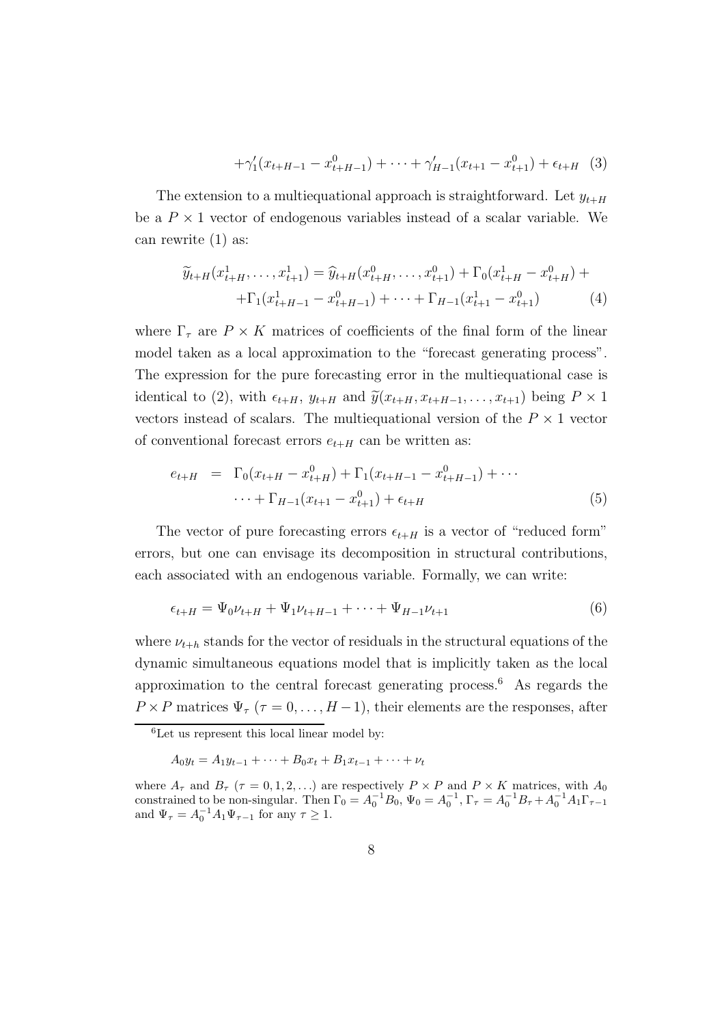$$
+\gamma_1'(x_{t+H-1} - x_{t+H-1}^0) + \dots + \gamma_{H-1}'(x_{t+1} - x_{t+1}^0) + \epsilon_{t+H} \quad (3)
$$

The extension to a multiequational approach is straightforward. Let  $y_{t+H}$ be a  $P \times 1$  vector of endogenous variables instead of a scalar variable. We can rewrite (1) as:

$$
\widetilde{y}_{t+H}(x_{t+H}^1, \dots, x_{t+1}^1) = \widehat{y}_{t+H}(x_{t+H}^0, \dots, x_{t+1}^0) + \Gamma_0(x_{t+H}^1 - x_{t+H}^0) +
$$
  
 
$$
+ \Gamma_1(x_{t+H-1}^1 - x_{t+H-1}^0) + \dots + \Gamma_{H-1}(x_{t+1}^1 - x_{t+1}^0)
$$
 (4)

where  $\Gamma_{\tau}$  are  $P \times K$  matrices of coefficients of the final form of the linear model taken as a local approximation to the "forecast generating process". The expression for the pure forecasting error in the multiequational case is identical to (2), with  $\epsilon_{t+H}$ ,  $y_{t+H}$  and  $\tilde{y}(x_{t+H}, x_{t+H-1}, \ldots, x_{t+1})$  being  $P \times 1$ vectors instead of scalars. The multiequational version of the  $P \times 1$  vector of conventional forecast errors  $e_{t+H}$  can be written as:

$$
e_{t+H} = \Gamma_0(x_{t+H} - x_{t+H}^0) + \Gamma_1(x_{t+H-1} - x_{t+H-1}^0) + \cdots
$$
  
 
$$
\cdots + \Gamma_{H-1}(x_{t+1} - x_{t+1}^0) + \epsilon_{t+H}
$$
 (5)

The vector of pure forecasting errors  $\epsilon_{t+H}$  is a vector of "reduced form" errors, but one can envisage its decomposition in structural contributions, each associated with an endogenous variable. Formally, we can write:

$$
\epsilon_{t+H} = \Psi_0 \nu_{t+H} + \Psi_1 \nu_{t+H-1} + \dots + \Psi_{H-1} \nu_{t+1} \tag{6}
$$

where  $\nu_{t+h}$  stands for the vector of residuals in the structural equations of the dynamic simultaneous equations model that is implicitly taken as the local approximation to the central forecast generating process.<sup>6</sup> As regards the  $P \times P$  matrices  $\Psi_{\tau}$  ( $\tau = 0, \ldots, H-1$ ), their elements are the responses, after

 ${}^{6}$ Let us represent this local linear model by:

 $A_0y_t = A_1y_{t-1} + \cdots + B_0x_t + B_1x_{t-1} + \cdots + \nu_t$ 

where  $A_{\tau}$  and  $B_{\tau}$  ( $\tau = 0, 1, 2, ...$ ) are respectively  $P \times P$  and  $P \times K$  matrices, with  $A_0$ constrained to be non-singular. Then  $\Gamma_0 = A_0^{-1}B_0$ ,  $\Psi_0 = A_0^{-1}$ ,  $\Gamma_\tau = A_0^{-1}B_\tau + A_0^{-1}A_1\Gamma_{\tau-1}$ and  $\Psi_{\tau} = A_0^{-1} A_1 \Psi_{\tau-1}$  for any  $\tau \ge 1$ .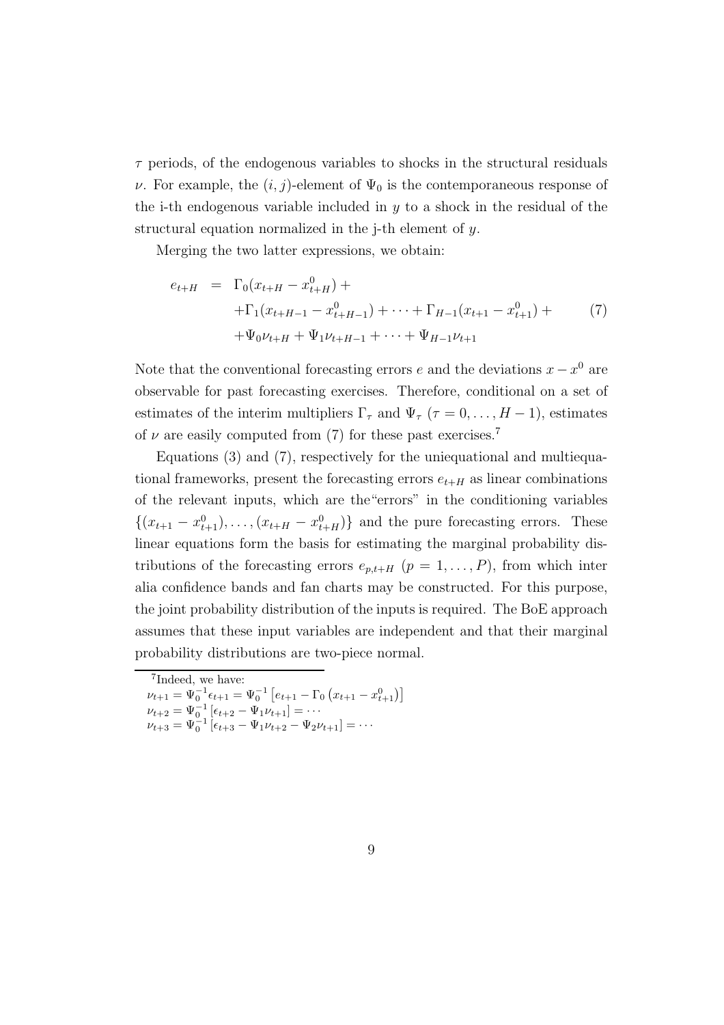$\tau$  periods, of the endogenous variables to shocks in the structural residuals ν. For example, the  $(i, j)$ -element of  $\Psi_0$  is the contemporaneous response of the i-th endogenous variable included in  $y$  to a shock in the residual of the structural equation normalized in the j-th element of y.

Merging the two latter expressions, we obtain:

$$
e_{t+H} = \Gamma_0(x_{t+H} - x_{t+H}^0) +
$$
  
+ 
$$
\Gamma_1(x_{t+H-1} - x_{t+H-1}^0) + \cdots + \Gamma_{H-1}(x_{t+1} - x_{t+1}^0) +
$$
  
+ 
$$
\Psi_0 \nu_{t+H} + \Psi_1 \nu_{t+H-1} + \cdots + \Psi_{H-1} \nu_{t+1}
$$
 (7)

Note that the conventional forecasting errors  $e$  and the deviations  $x - x^0$  are observable for past forecasting exercises. Therefore, conditional on a set of estimates of the interim multipliers  $\Gamma_{\tau}$  and  $\Psi_{\tau}$  ( $\tau = 0, \ldots, H-1$ ), estimates of  $\nu$  are easily computed from (7) for these past exercises.<sup>7</sup>

Equations (3) and (7), respectively for the uniequational and multiequational frameworks, present the forecasting errors  $e_{t+H}$  as linear combinations of the relevant inputs, which are the"errors" in the conditioning variables  $\{(x_{t+1} - x_{t+1}^0), \ldots, (x_{t+H} - x_{t+H}^0)\}\$ and the pure forecasting errors. These linear equations form the basis for estimating the marginal probability distributions of the forecasting errors  $e_{p,t+H}$   $(p = 1, \ldots, P)$ , from which inter alia confidence bands and fan charts may be constructed. For this purpose, the joint probability distribution of the inputs is required. The BoE approach assumes that these input variables are independent and that their marginal probability distributions are two-piece normal.

<sup>7</sup> Indeed, we have:

 $\nu_{t+1} = \Psi_0^{-1} \epsilon_{t+1} = \Psi_0^{-1} \left[ e_{t+1} - \Gamma_0 \left( x_{t+1} - x_{t+1}^0 \right) \right]$ 

 $\nu_{t+2} = \Psi_{0}^{-1} \left[ \epsilon_{t+2} - \Psi_1 \nu_{t+1} \right] = \cdots$ 

 $\nu_{t+3} = \Psi_0^{-1} \left[ \epsilon_{t+3} - \Psi_1 \nu_{t+2} - \Psi_2 \nu_{t+1} \right] = \cdots$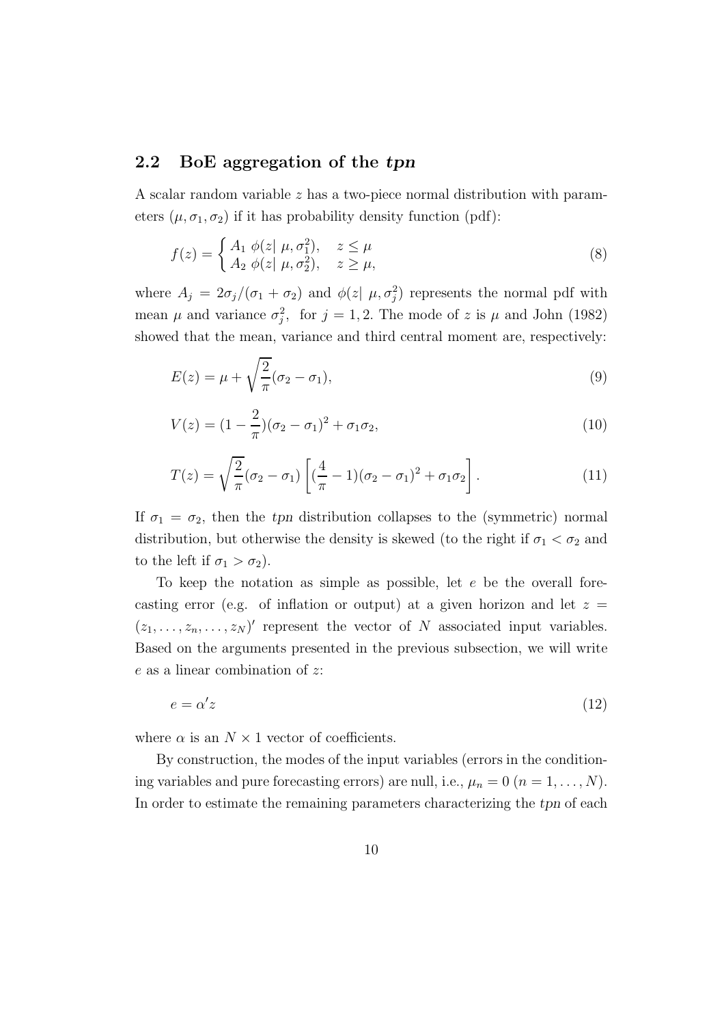#### 2.2 BoE aggregation of the tpn

A scalar random variable z has a two-piece normal distribution with parameters  $(\mu, \sigma_1, \sigma_2)$  if it has probability density function (pdf):

$$
f(z) = \begin{cases} A_1 & \phi(z \mid \mu, \sigma_1^2), & z \le \mu \\ A_2 & \phi(z \mid \mu, \sigma_2^2), & z \ge \mu, \end{cases}
$$
 (8)

where  $A_j = 2\sigma_j/(\sigma_1 + \sigma_2)$  and  $\phi(z | \mu, \sigma_j^2)$  represents the normal pdf with mean  $\mu$  and variance  $\sigma_j^2$ , for  $j = 1, 2$ . The mode of z is  $\mu$  and John (1982) showed that the mean, variance and third central moment are, respectively:

$$
E(z) = \mu + \sqrt{\frac{2}{\pi}} (\sigma_2 - \sigma_1), \qquad (9)
$$

$$
V(z) = (1 - \frac{2}{\pi})(\sigma_2 - \sigma_1)^2 + \sigma_1 \sigma_2, \tag{10}
$$

$$
T(z) = \sqrt{\frac{2}{\pi}} (\sigma_2 - \sigma_1) \left[ \left( \frac{4}{\pi} - 1 \right) (\sigma_2 - \sigma_1)^2 + \sigma_1 \sigma_2 \right]. \tag{11}
$$

If  $\sigma_1 = \sigma_2$ , then the tpn distribution collapses to the (symmetric) normal distribution, but otherwise the density is skewed (to the right if  $\sigma_1 < \sigma_2$  and to the left if  $\sigma_1 > \sigma_2$ ).

To keep the notation as simple as possible, let  $e$  be the overall forecasting error (e.g. of inflation or output) at a given horizon and let  $z =$  $(z_1, \ldots, z_n, \ldots, z_N)'$  represent the vector of N associated input variables. Based on the arguments presented in the previous subsection, we will write e as a linear combination of z:

$$
e = \alpha' z \tag{12}
$$

where  $\alpha$  is an  $N \times 1$  vector of coefficients.

By construction, the modes of the input variables (errors in the conditioning variables and pure forecasting errors) are null, i.e.,  $\mu_n = 0$   $(n = 1, \ldots, N)$ . In order to estimate the remaining parameters characterizing the tpn of each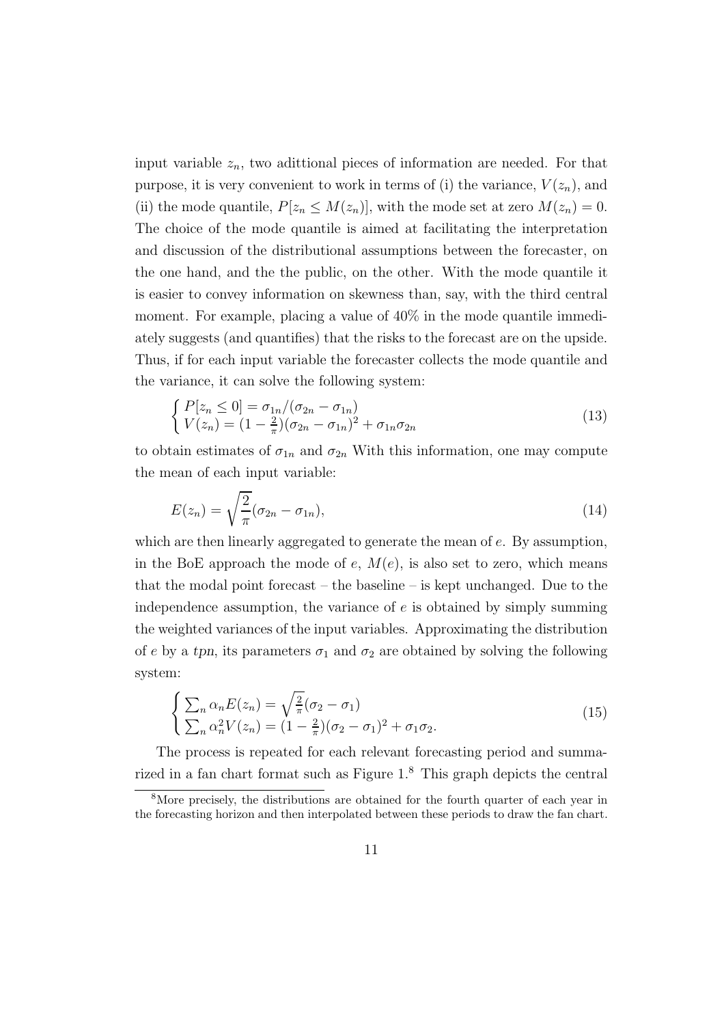input variable  $z_n$ , two adittional pieces of information are needed. For that purpose, it is very convenient to work in terms of (i) the variance,  $V(z_n)$ , and (ii) the mode quantile,  $P[z_n \leq M(z_n)]$ , with the mode set at zero  $M(z_n) = 0$ . The choice of the mode quantile is aimed at facilitating the interpretation and discussion of the distributional assumptions between the forecaster, on the one hand, and the the public, on the other. With the mode quantile it is easier to convey information on skewness than, say, with the third central moment. For example, placing a value of 40% in the mode quantile immediately suggests (and quantifies) that the risks to the forecast are on the upside. Thus, if for each input variable the forecaster collects the mode quantile and the variance, it can solve the following system:

$$
\begin{cases}\nP[z_n \le 0] = \frac{\sigma_{1n}}{\sigma_{2n} - \sigma_{1n}} \\
V(z_n) = (1 - \frac{2}{\pi})(\sigma_{2n} - \sigma_{1n})^2 + \sigma_{1n}\sigma_{2n}\n\end{cases} \tag{13}
$$

to obtain estimates of  $\sigma_{1n}$  and  $\sigma_{2n}$  With this information, one may compute the mean of each input variable:

$$
E(z_n) = \sqrt{\frac{2}{\pi}} (\sigma_{2n} - \sigma_{1n}), \qquad (14)
$$

which are then linearly aggregated to generate the mean of e. By assumption, in the BoE approach the mode of  $e$ ,  $M(e)$ , is also set to zero, which means that the modal point forecast – the baseline – is kept unchanged. Due to the independence assumption, the variance of  $e$  is obtained by simply summing the weighted variances of the input variables. Approximating the distribution of e by a tpn, its parameters  $\sigma_1$  and  $\sigma_2$  are obtained by solving the following system:

$$
\begin{cases}\n\sum_{n} \alpha_n E(z_n) = \sqrt{\frac{2}{\pi}} (\sigma_2 - \sigma_1) \\
\sum_{n} \alpha_n^2 V(z_n) = (1 - \frac{2}{\pi}) (\sigma_2 - \sigma_1)^2 + \sigma_1 \sigma_2.\n\end{cases}
$$
\n(15)

The process is repeated for each relevant forecasting period and summarized in a fan chart format such as Figure 1.<sup>8</sup> This graph depicts the central

<sup>&</sup>lt;sup>8</sup>More precisely, the distributions are obtained for the fourth quarter of each year in the forecasting horizon and then interpolated between these periods to draw the fan chart.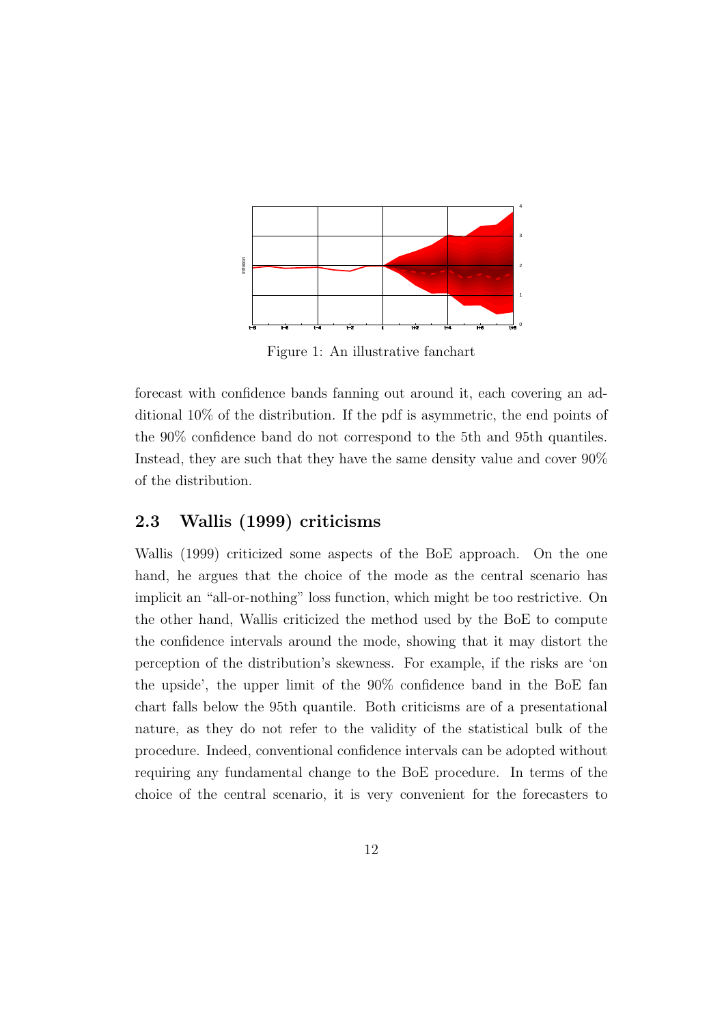

Figure 1: An illustrative fanchart

forecast with confidence bands fanning out around it, each covering an additional 10% of the distribution. If the pdf is asymmetric, the end points of the 90% confidence band do not correspond to the 5th and 95th quantiles. Instead, they are such that they have the same density value and cover 90% of the distribution.

#### 2.3 Wallis (1999) criticisms

Wallis (1999) criticized some aspects of the BoE approach. On the one hand, he argues that the choice of the mode as the central scenario has implicit an "all-or-nothing" loss function, which might be too restrictive. On the other hand, Wallis criticized the method used by the BoE to compute the confidence intervals around the mode, showing that it may distort the perception of the distribution's skewness. For example, if the risks are 'on the upside', the upper limit of the 90% confidence band in the BoE fan chart falls below the 95th quantile. Both criticisms are of a presentational nature, as they do not refer to the validity of the statistical bulk of the procedure. Indeed, conventional confidence intervals can be adopted without requiring any fundamental change to the BoE procedure. In terms of the choice of the central scenario, it is very convenient for the forecasters to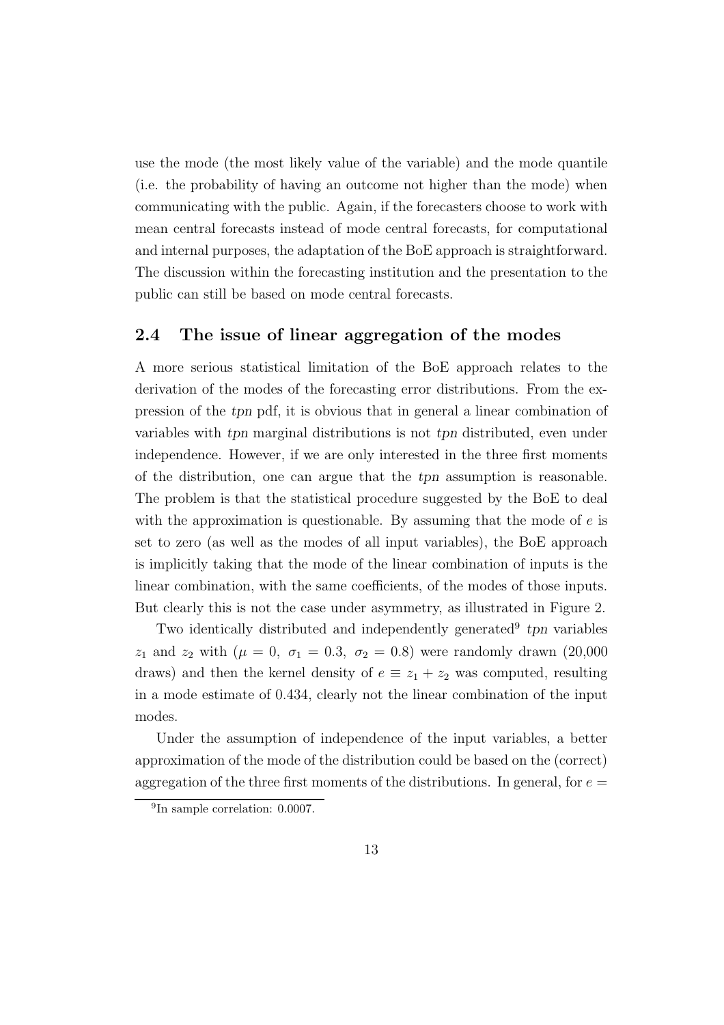use the mode (the most likely value of the variable) and the mode quantile (i.e. the probability of having an outcome not higher than the mode) when communicating with the public. Again, if the forecasters choose to work with mean central forecasts instead of mode central forecasts, for computational and internal purposes, the adaptation of the BoE approach is straightforward. The discussion within the forecasting institution and the presentation to the public can still be based on mode central forecasts.

### 2.4 The issue of linear aggregation of the modes

A more serious statistical limitation of the BoE approach relates to the derivation of the modes of the forecasting error distributions. From the expression of the tpn pdf, it is obvious that in general a linear combination of variables with tpn marginal distributions is not tpn distributed, even under independence. However, if we are only interested in the three first moments of the distribution, one can argue that the tpn assumption is reasonable. The problem is that the statistical procedure suggested by the BoE to deal with the approximation is questionable. By assuming that the mode of  $e$  is set to zero (as well as the modes of all input variables), the BoE approach is implicitly taking that the mode of the linear combination of inputs is the linear combination, with the same coefficients, of the modes of those inputs. But clearly this is not the case under asymmetry, as illustrated in Figure 2.

Two identically distributed and independently generated<sup>9</sup> tpn variables  $z_1$  and  $z_2$  with ( $\mu = 0, \ \sigma_1 = 0.3, \ \sigma_2 = 0.8$ ) were randomly drawn (20,000) draws) and then the kernel density of  $e \equiv z_1 + z_2$  was computed, resulting in a mode estimate of 0.434, clearly not the linear combination of the input modes.

Under the assumption of independence of the input variables, a better approximation of the mode of the distribution could be based on the (correct) aggregation of the three first moments of the distributions. In general, for  $e =$ 

<sup>&</sup>lt;sup>9</sup>In sample correlation: 0.0007.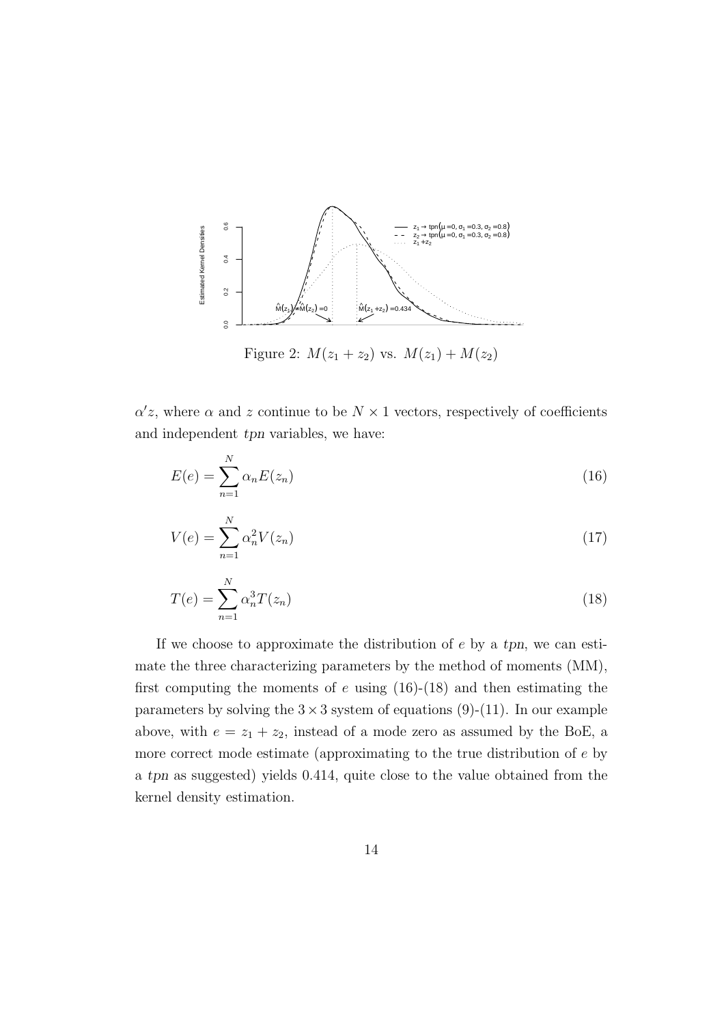

 $\alpha' z$ , where  $\alpha$  and  $z$  continue to be  $N \times 1$  vectors, respectively of coefficients and independent tpn variables, we have:

$$
E(e) = \sum_{n=1}^{N} \alpha_n E(z_n)
$$
\n(16)

$$
V(e) = \sum_{n=1}^{N} \alpha_n^2 V(z_n)
$$
 (17)

$$
T(e) = \sum_{n=1}^{N} \alpha_n^3 T(z_n)
$$
\n
$$
(18)
$$

If we choose to approximate the distribution of  $e$  by a tpn, we can estimate the three characterizing parameters by the method of moments (MM), first computing the moments of  $e$  using (16)-(18) and then estimating the parameters by solving the  $3 \times 3$  system of equations (9)-(11). In our example above, with  $e = z_1 + z_2$ , instead of a mode zero as assumed by the BoE, a more correct mode estimate (approximating to the true distribution of e by a tpn as suggested) yields 0.414, quite close to the value obtained from the kernel density estimation.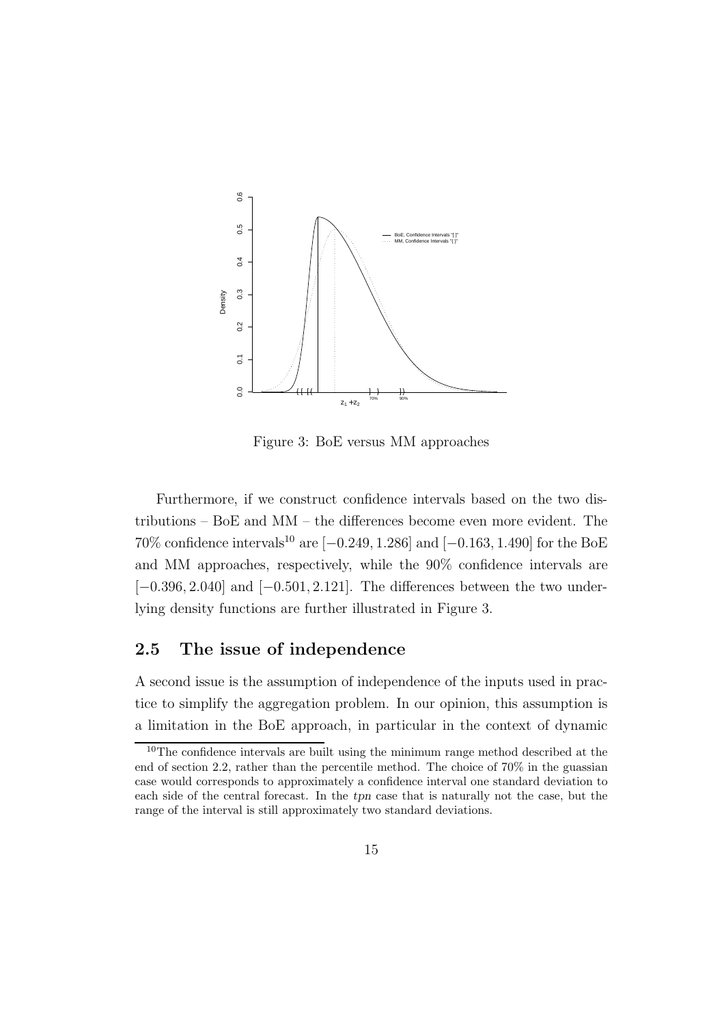

Figure 3: BoE versus MM approaches

Furthermore, if we construct confidence intervals based on the two distributions – BoE and MM – the differences become even more evident. The 70% confidence intervals<sup>10</sup> are  $[-0.249, 1.286]$  and  $[-0.163, 1.490]$  for the BoE and MM approaches, respectively, while the 90% confidence intervals are  $[-0.396, 2.040]$  and  $[-0.501, 2.121]$ . The differences between the two underlying density functions are further illustrated in Figure 3.

#### 2.5 The issue of independence

A second issue is the assumption of independence of the inputs used in practice to simplify the aggregation problem. In our opinion, this assumption is a limitation in the BoE approach, in particular in the context of dynamic

<sup>10</sup>The confidence intervals are built using the minimum range method described at the end of section 2.2, rather than the percentile method. The choice of 70% in the guassian case would corresponds to approximately a confidence interval one standard deviation to each side of the central forecast. In the tpn case that is naturally not the case, but the range of the interval is still approximately two standard deviations.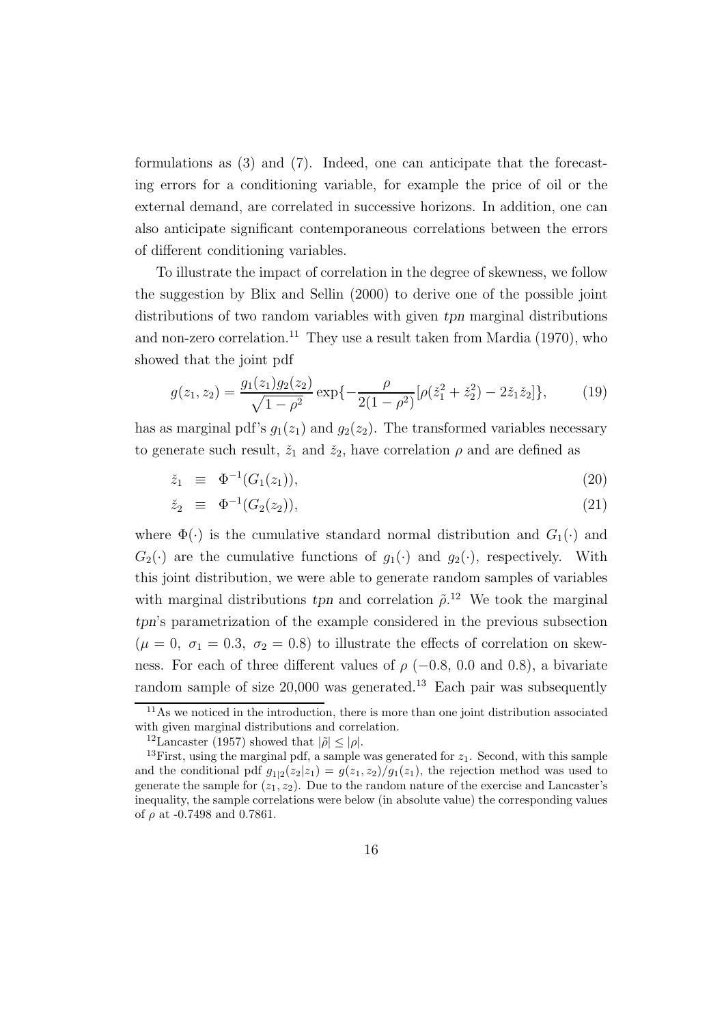formulations as (3) and (7). Indeed, one can anticipate that the forecasting errors for a conditioning variable, for example the price of oil or the external demand, are correlated in successive horizons. In addition, one can also anticipate significant contemporaneous correlations between the errors of different conditioning variables.

To illustrate the impact of correlation in the degree of skewness, we follow the suggestion by Blix and Sellin (2000) to derive one of the possible joint distributions of two random variables with given tpn marginal distributions and non-zero correlation.<sup>11</sup> They use a result taken from Mardia (1970), who showed that the joint pdf

$$
g(z_1, z_2) = \frac{g_1(z_1)g_2(z_2)}{\sqrt{1 - \rho^2}} \exp\{-\frac{\rho}{2(1 - \rho^2)}[\rho(\check{z}_1^2 + \check{z}_2^2) - 2\check{z}_1\check{z}_2]\},\tag{19}
$$

has as marginal pdf's  $g_1(z_1)$  and  $g_2(z_2)$ . The transformed variables necessary to generate such result,  $\check{z}_1$  and  $\check{z}_2$ , have correlation  $\rho$  and are defined as

$$
\check{z}_1 \equiv \Phi^{-1}(G_1(z_1)), \tag{20}
$$

$$
\check{z}_2 \equiv \Phi^{-1}(G_2(z_2)), \tag{21}
$$

where  $\Phi(\cdot)$  is the cumulative standard normal distribution and  $G_1(\cdot)$  and  $G_2(\cdot)$  are the cumulative functions of  $g_1(\cdot)$  and  $g_2(\cdot)$ , respectively. With this joint distribution, we were able to generate random samples of variables with marginal distributions tpn and correlation  $\tilde{\rho}$ <sup>12</sup>. We took the marginal tpn's parametrization of the example considered in the previous subsection  $(\mu = 0, \sigma_1 = 0.3, \sigma_2 = 0.8)$  to illustrate the effects of correlation on skewness. For each of three different values of  $\rho$  (−0.8, 0.0 and 0.8), a bivariate random sample of size 20,000 was generated.<sup>13</sup> Each pair was subsequently

<sup>&</sup>lt;sup>11</sup>As we noticed in the introduction, there is more than one joint distribution associated with given marginal distributions and correlation.

<sup>&</sup>lt;sup>12</sup>Lancaster (1957) showed that  $|\tilde{\rho}| \leq |\rho|$ .

<sup>&</sup>lt;sup>13</sup>First, using the marginal pdf, a sample was generated for  $z_1$ . Second, with this sample and the conditional pdf  $g_{1|2}(z_2|z_1) = g(z_1, z_2)/g_1(z_1)$ , the rejection method was used to generate the sample for  $(z_1, z_2)$ . Due to the random nature of the exercise and Lancaster's inequality, the sample correlations were below (in absolute value) the corresponding values of  $\rho$  at -0.7498 and 0.7861.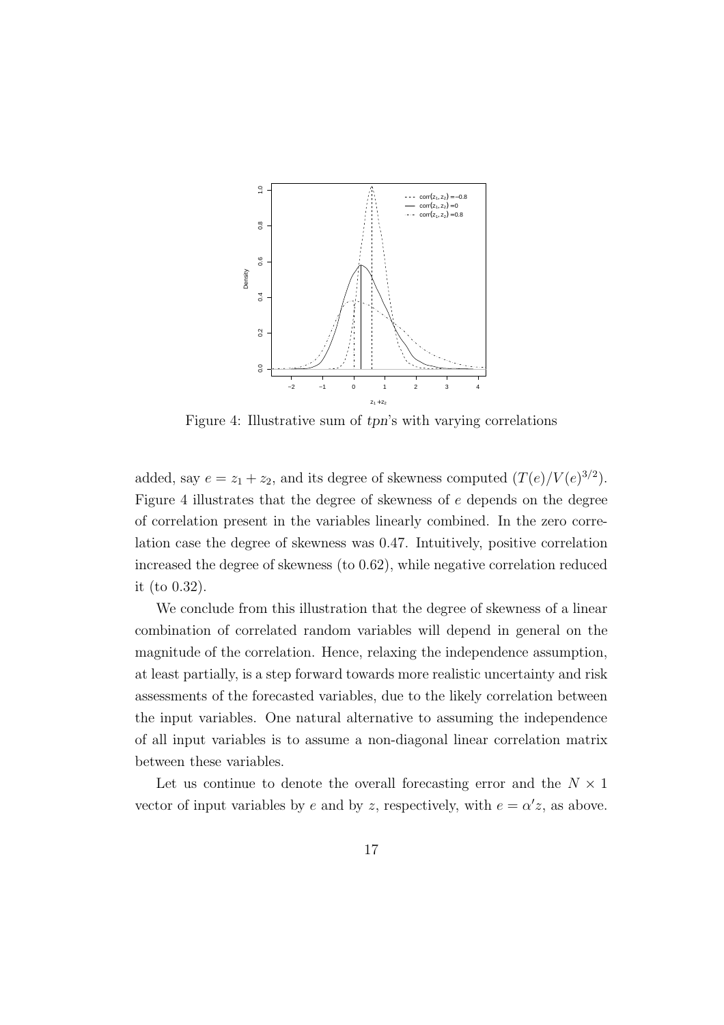

Figure 4: Illustrative sum of tpn's with varying correlations

added, say  $e = z_1 + z_2$ , and its degree of skewness computed  $(T(e)/V(e)^{3/2})$ . Figure 4 illustrates that the degree of skewness of e depends on the degree of correlation present in the variables linearly combined. In the zero correlation case the degree of skewness was 0.47. Intuitively, positive correlation increased the degree of skewness (to 0.62), while negative correlation reduced it (to 0.32).

We conclude from this illustration that the degree of skewness of a linear combination of correlated random variables will depend in general on the magnitude of the correlation. Hence, relaxing the independence assumption, at least partially, is a step forward towards more realistic uncertainty and risk assessments of the forecasted variables, due to the likely correlation between the input variables. One natural alternative to assuming the independence of all input variables is to assume a non-diagonal linear correlation matrix between these variables.

Let us continue to denote the overall forecasting error and the  $N \times 1$ vector of input variables by e and by z, respectively, with  $e = \alpha' z$ , as above.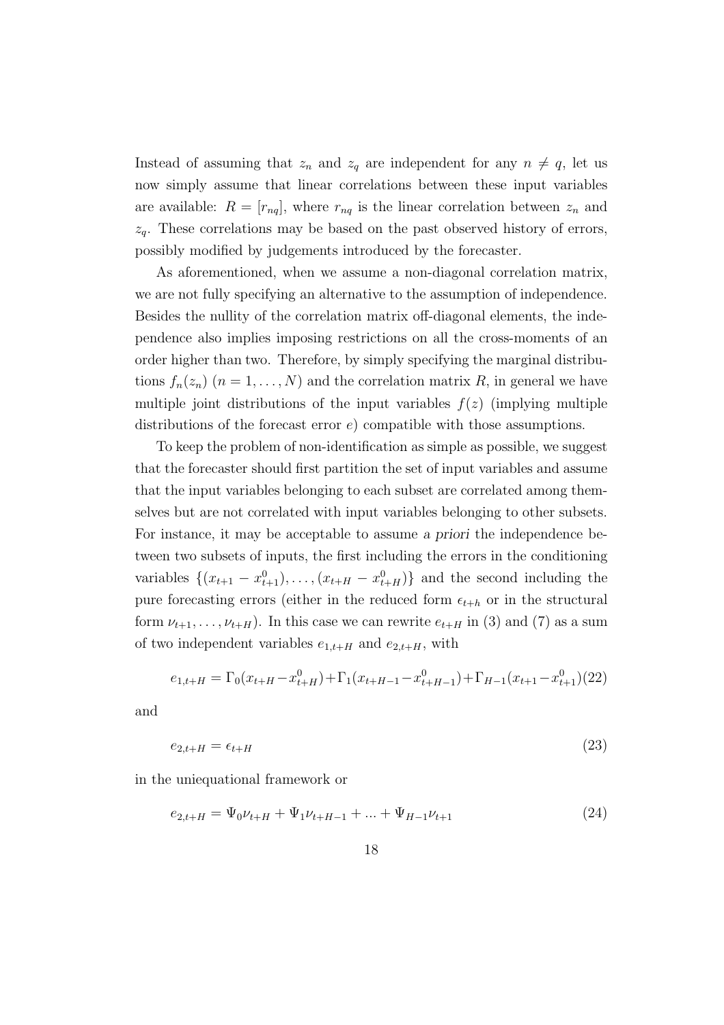Instead of assuming that  $z_n$  and  $z_q$  are independent for any  $n \neq q$ , let us now simply assume that linear correlations between these input variables are available:  $R = [r_{nq}]$ , where  $r_{nq}$  is the linear correlation between  $z_n$  and  $z_q$ . These correlations may be based on the past observed history of errors, possibly modified by judgements introduced by the forecaster.

As aforementioned, when we assume a non-diagonal correlation matrix, we are not fully specifying an alternative to the assumption of independence. Besides the nullity of the correlation matrix off-diagonal elements, the independence also implies imposing restrictions on all the cross-moments of an order higher than two. Therefore, by simply specifying the marginal distributions  $f_n(z_n)$   $(n = 1, ..., N)$  and the correlation matrix R, in general we have multiple joint distributions of the input variables  $f(z)$  (implying multiple distributions of the forecast error e) compatible with those assumptions.

To keep the problem of non-identification as simple as possible, we suggest that the forecaster should first partition the set of input variables and assume that the input variables belonging to each subset are correlated among themselves but are not correlated with input variables belonging to other subsets. For instance, it may be acceptable to assume a priori the independence between two subsets of inputs, the first including the errors in the conditioning variables  $\{(x_{t+1} - x_{t+1}^0), \ldots, (x_{t+H} - x_{t+H}^0)\}\)$  and the second including the pure forecasting errors (either in the reduced form  $\epsilon_{t+h}$  or in the structural form  $\nu_{t+1}, \ldots, \nu_{t+H}$ ). In this case we can rewrite  $e_{t+H}$  in (3) and (7) as a sum of two independent variables  $e_{1,t+H}$  and  $e_{2,t+H}$ , with

$$
e_{1,t+H} = \Gamma_0(x_{t+H} - x_{t+H}^0) + \Gamma_1(x_{t+H-1} - x_{t+H-1}^0) + \Gamma_{H-1}(x_{t+1} - x_{t+1}^0)(22)
$$

and

$$
e_{2,t+H} = \epsilon_{t+H} \tag{23}
$$

in the uniequational framework or

$$
e_{2,t+H} = \Psi_0 \nu_{t+H} + \Psi_1 \nu_{t+H-1} + \dots + \Psi_{H-1} \nu_{t+1}
$$
\n(24)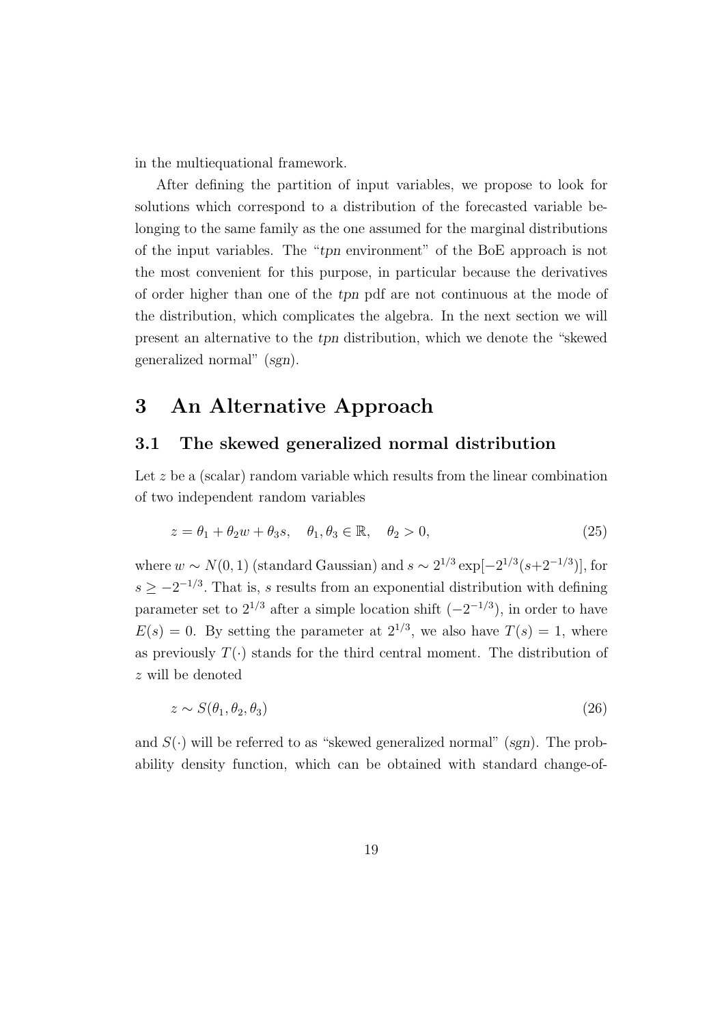in the multiequational framework.

After defining the partition of input variables, we propose to look for solutions which correspond to a distribution of the forecasted variable belonging to the same family as the one assumed for the marginal distributions of the input variables. The "tpn environment" of the BoE approach is not the most convenient for this purpose, in particular because the derivatives of order higher than one of the tpn pdf are not continuous at the mode of the distribution, which complicates the algebra. In the next section we will present an alternative to the tpn distribution, which we denote the "skewed generalized normal" (sgn).

### 3 An Alternative Approach

#### 3.1 The skewed generalized normal distribution

Let  $z$  be a (scalar) random variable which results from the linear combination of two independent random variables

$$
z = \theta_1 + \theta_2 w + \theta_3 s, \quad \theta_1, \theta_3 \in \mathbb{R}, \quad \theta_2 > 0,
$$
\n
$$
(25)
$$

where  $w \sim N(0, 1)$  (standard Gaussian) and  $s \sim 2^{1/3} \exp[-2^{1/3}(s+2^{-1/3})]$ , for  $s \geq -2^{-1/3}$ . That is, s results from an exponential distribution with defining parameter set to  $2^{1/3}$  after a simple location shift  $(-2^{-1/3})$ , in order to have  $E(s) = 0$ . By setting the parameter at  $2^{1/3}$ , we also have  $T(s) = 1$ , where as previously  $T(\cdot)$  stands for the third central moment. The distribution of z will be denoted

$$
z \sim S(\theta_1, \theta_2, \theta_3) \tag{26}
$$

and  $S(\cdot)$  will be referred to as "skewed generalized normal" (sgn). The probability density function, which can be obtained with standard change-of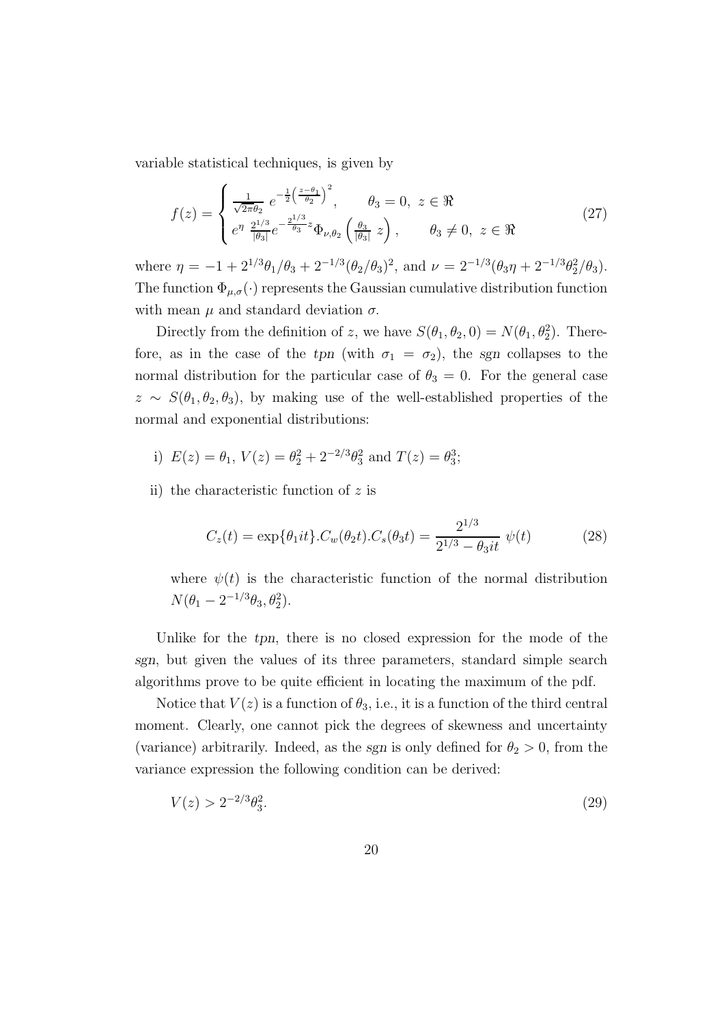variable statistical techniques, is given by

$$
f(z) = \begin{cases} \frac{1}{\sqrt{2\pi}\theta_2} e^{-\frac{1}{2} \left(\frac{z-\theta_1}{\theta_2}\right)^2}, & \theta_3 = 0, \ z \in \Re\\ e^{\eta} \frac{2^{1/3}}{|\theta_3|} e^{-\frac{2^{1/3}}{\theta_3}z} \Phi_{\nu,\theta_2} \left(\frac{\theta_3}{|\theta_3|} z\right), & \theta_3 \neq 0, \ z \in \Re \end{cases}
$$
(27)

where  $\eta = -1 + 2^{1/3}\theta_1/\theta_3 + 2^{-1/3}(\theta_2/\theta_3)^2$ , and  $\nu = 2^{-1/3}(\theta_3\eta + 2^{-1/3}\theta_2^2/\theta_3)$ . The function  $\Phi_{\mu,\sigma}(\cdot)$  represents the Gaussian cumulative distribution function with mean  $\mu$  and standard deviation  $\sigma$ .

Directly from the definition of z, we have  $S(\theta_1, \theta_2, 0) = N(\theta_1, \theta_2^2)$ . Therefore, as in the case of the tpn (with  $\sigma_1 = \sigma_2$ ), the sgn collapses to the normal distribution for the particular case of  $\theta_3 = 0$ . For the general case  $z \sim S(\theta_1, \theta_2, \theta_3)$ , by making use of the well-established properties of the normal and exponential distributions:

- i)  $E(z) = \theta_1$ ,  $V(z) = \theta_2^2 + 2^{-2/3} \theta_3^2$  and  $T(z) = \theta_3^3$ ;
- ii) the characteristic function of  $z$  is

$$
C_z(t) = \exp\{\theta_1 it\} . C_w(\theta_2 t) . C_s(\theta_3 t) = \frac{2^{1/3}}{2^{1/3} - \theta_3 it} \psi(t)
$$
 (28)

where  $\psi(t)$  is the characteristic function of the normal distribution  $N(\theta_1 - 2^{-1/3}\theta_3, \theta_2^2).$ 

Unlike for the tpn, there is no closed expression for the mode of the sgn, but given the values of its three parameters, standard simple search algorithms prove to be quite efficient in locating the maximum of the pdf.

Notice that  $V(z)$  is a function of  $\theta_3$ , i.e., it is a function of the third central moment. Clearly, one cannot pick the degrees of skewness and uncertainty (variance) arbitrarily. Indeed, as the sgn is only defined for  $\theta_2 > 0$ , from the variance expression the following condition can be derived:

$$
V(z) > 2^{-2/3} \theta_3^2. \tag{29}
$$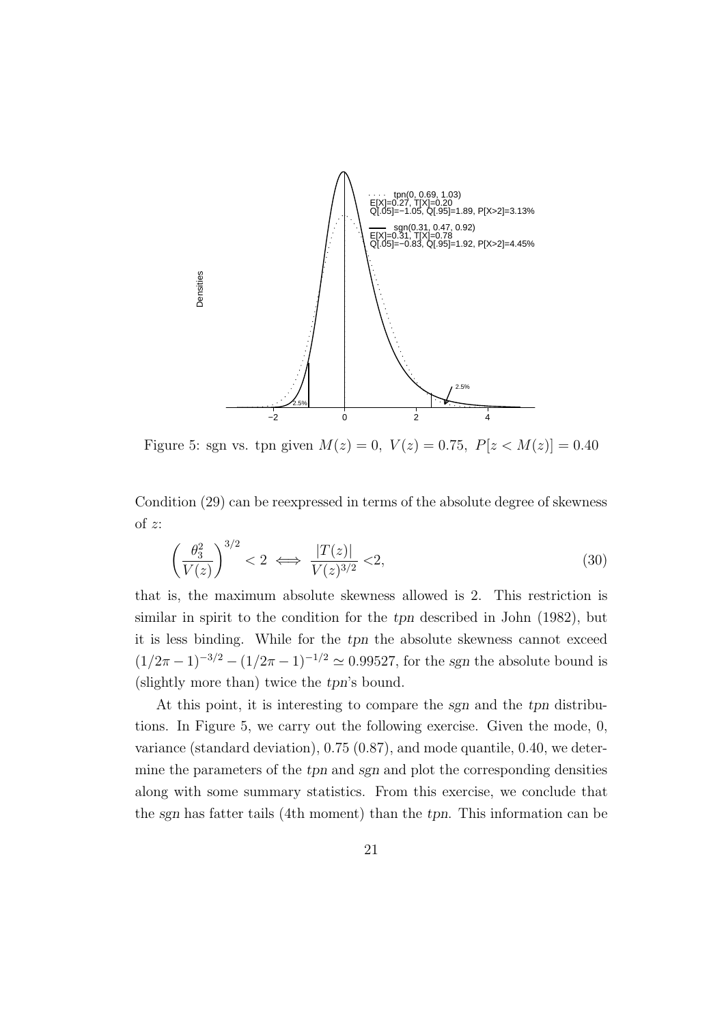

Figure 5: sgn vs. tpn given  $M(z) = 0$ ,  $V(z) = 0.75$ ,  $P[z < M(z)] = 0.40$ 

Condition (29) can be reexpressed in terms of the absolute degree of skewness of z:

$$
\left(\frac{\theta_3^2}{V(z)}\right)^{3/2} < 2 \iff \frac{|T(z)|}{V(z)^{3/2}} < 2,\tag{30}
$$

that is, the maximum absolute skewness allowed is 2. This restriction is similar in spirit to the condition for the tpn described in John (1982), but it is less binding. While for the tpn the absolute skewness cannot exceed  $(1/2\pi - 1)^{-3/2} - (1/2\pi - 1)^{-1/2} \simeq 0.99527$ , for the sgn the absolute bound is (slightly more than) twice the tpn's bound.

At this point, it is interesting to compare the sgn and the tpn distributions. In Figure 5, we carry out the following exercise. Given the mode, 0, variance (standard deviation), 0.75 (0.87), and mode quantile, 0.40, we determine the parameters of the tpn and sgn and plot the corresponding densities along with some summary statistics. From this exercise, we conclude that the sgn has fatter tails (4th moment) than the tpn. This information can be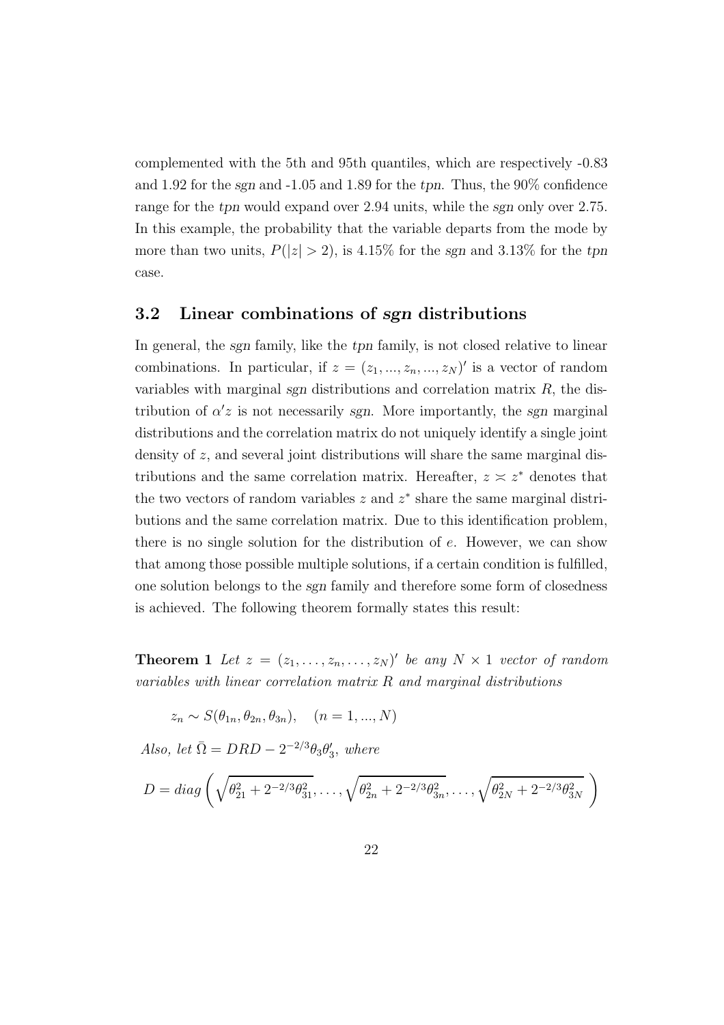complemented with the 5th and 95th quantiles, which are respectively -0.83 and 1.92 for the sgn and -1.05 and 1.89 for the tpn. Thus, the 90% confidence range for the tpn would expand over 2.94 units, while the sgn only over 2.75. In this example, the probability that the variable departs from the mode by more than two units,  $P(|z| > 2)$ , is 4.15% for the sgn and 3.13% for the tpn case.

#### 3.2 Linear combinations of sgn distributions

In general, the sgn family, like the tpn family, is not closed relative to linear combinations. In particular, if  $z = (z_1, ..., z_n, ..., z_N)'$  is a vector of random variables with marginal sgn distributions and correlation matrix  $R$ , the distribution of  $\alpha'z$  is not necessarily sgn. More importantly, the sgn marginal distributions and the correlation matrix do not uniquely identify a single joint density of z, and several joint distributions will share the same marginal distributions and the same correlation matrix. Hereafter,  $z \approx z^*$  denotes that the two vectors of random variables  $z$  and  $z^*$  share the same marginal distributions and the same correlation matrix. Due to this identification problem, there is no single solution for the distribution of e. However, we can show that among those possible multiple solutions, if a certain condition is fulfilled, one solution belongs to the sgn family and therefore some form of closedness is achieved. The following theorem formally states this result:

**Theorem 1** Let  $z = (z_1, \ldots, z_n, \ldots, z_N)'$  be any  $N \times 1$  vector of random variables with linear correlation matrix R and marginal distributions

$$
z_n \sim S(\theta_{1n}, \theta_{2n}, \theta_{3n}), \quad (n = 1, ..., N)
$$

Also, let  $\overline{\Omega} = DRD - 2^{-2/3}\theta_3\theta'_3$ , where

$$
D = diag\left(\sqrt{\theta_{21}^2 + 2^{-2/3}\theta_{31}^2}, \ldots, \sqrt{\theta_{2n}^2 + 2^{-2/3}\theta_{3n}^2}, \ldots, \sqrt{\theta_{2N}^2 + 2^{-2/3}\theta_{3N}^2}\right)
$$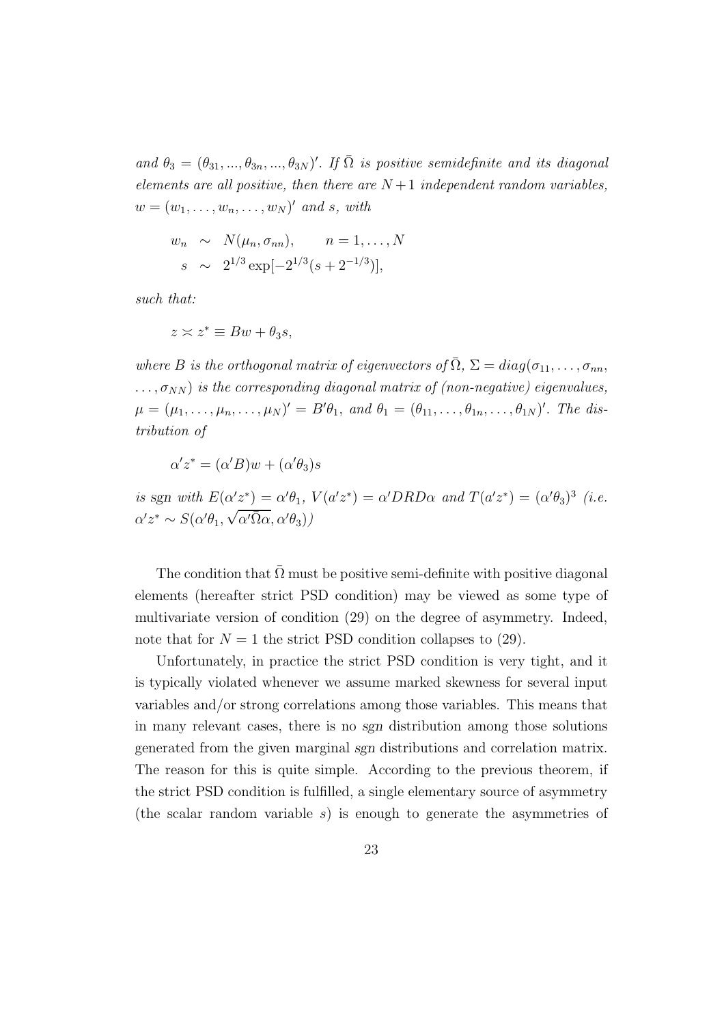and  $\theta_3 = (\theta_{31}, ..., \theta_{3n}, ..., \theta_{3N})'$ . If  $\overline{\Omega}$  is positive semidefinite and its diagonal elements are all positive, then there are  $N+1$  independent random variables,  $w = (w_1, \ldots, w_n, \ldots, w_N)'$  and s, with

$$
w_n \sim N(\mu_n, \sigma_{nn}), \qquad n = 1, ..., N
$$
  
\n $s \sim 2^{1/3} \exp[-2^{1/3}(s+2^{-1/3})],$ 

such that:

$$
z \asymp z^* \equiv Bw + \theta_3 s,
$$

where B is the orthogonal matrix of eigenvectors of  $\overline{\Omega}$ ,  $\Sigma = diag(\sigma_{11}, \ldots, \sigma_{nn},$  $\ldots, \sigma_{NN}$ ) is the corresponding diagonal matrix of (non-negative) eigenvalues,  $\mu = (\mu_1, \ldots, \mu_n, \ldots, \mu_N)' = B'\theta_1$ , and  $\theta_1 = (\theta_{11}, \ldots, \theta_{1n}, \ldots, \theta_{1N})'$ . The distribution of

$$
\alpha' z^* = (\alpha' B) w + (\alpha' \theta_3) s
$$

is sgn with  $E(\alpha'z^*) = \alpha'\theta_1$ ,  $V(a'z^*) = \alpha'DRD\alpha$  and  $T(a'z^*) = (\alpha'\theta_3)^3$  (i.e.  $\alpha' z^* \sim S(\alpha' \theta_1, \sqrt{\alpha' \overline{\Omega} \alpha}, \alpha' \theta_3))$ 

The condition that  $\overline{\Omega}$  must be positive semi-definite with positive diagonal elements (hereafter strict PSD condition) may be viewed as some type of multivariate version of condition (29) on the degree of asymmetry. Indeed, note that for  $N = 1$  the strict PSD condition collapses to (29).

Unfortunately, in practice the strict PSD condition is very tight, and it is typically violated whenever we assume marked skewness for several input variables and/or strong correlations among those variables. This means that in many relevant cases, there is no sgn distribution among those solutions generated from the given marginal sgn distributions and correlation matrix. The reason for this is quite simple. According to the previous theorem, if the strict PSD condition is fulfilled, a single elementary source of asymmetry (the scalar random variable  $s$ ) is enough to generate the asymmetries of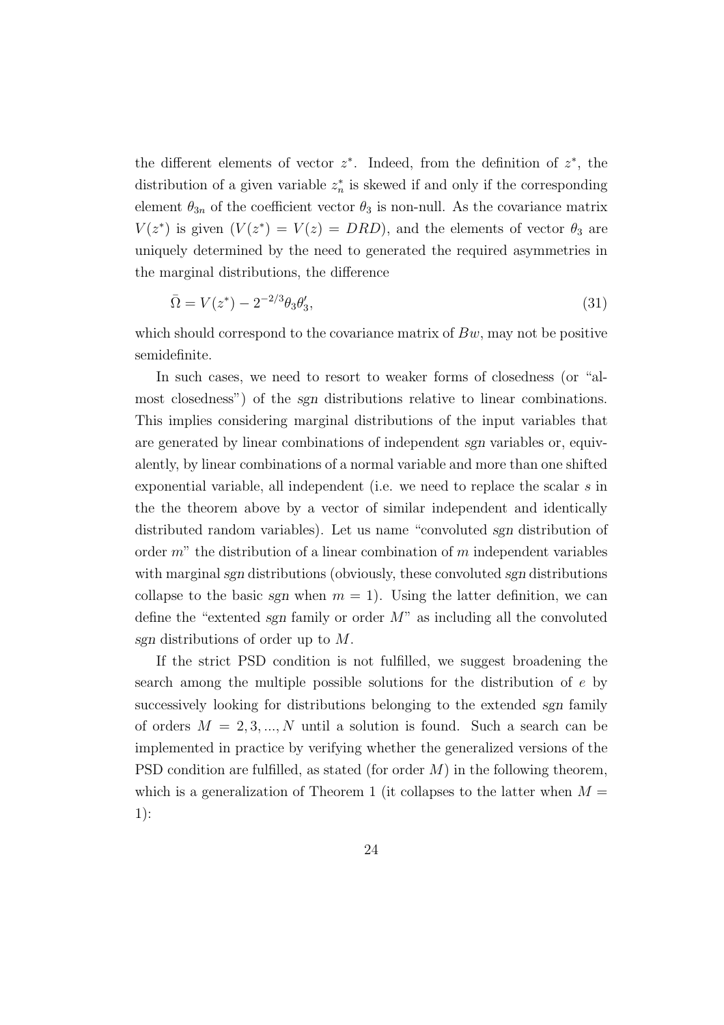the different elements of vector  $z^*$ . Indeed, from the definition of  $z^*$ , the distribution of a given variable  $z_n^*$  is skewed if and only if the corresponding element  $\theta_{3n}$  of the coefficient vector  $\theta_3$  is non-null. As the covariance matrix  $V(z^*)$  is given  $(V(z^*) = V(z) = DRD)$ , and the elements of vector  $\theta_3$  are uniquely determined by the need to generated the required asymmetries in the marginal distributions, the difference

$$
\bar{\Omega} = V(z^*) - 2^{-2/3} \theta_3 \theta'_3,\tag{31}
$$

which should correspond to the covariance matrix of  $Bw$ , may not be positive semidefinite.

In such cases, we need to resort to weaker forms of closedness (or "almost closedness") of the sgn distributions relative to linear combinations. This implies considering marginal distributions of the input variables that are generated by linear combinations of independent sgn variables or, equivalently, by linear combinations of a normal variable and more than one shifted exponential variable, all independent (i.e. we need to replace the scalar s in the the theorem above by a vector of similar independent and identically distributed random variables). Let us name "convoluted sgn distribution of order  $m$ " the distribution of a linear combination of m independent variables with marginal sgn distributions (obviously, these convoluted sgn distributions collapse to the basic sgn when  $m = 1$ ). Using the latter definition, we can define the "extented sgn family or order  $M$ " as including all the convoluted sgn distributions of order up to M.

If the strict PSD condition is not fulfilled, we suggest broadening the search among the multiple possible solutions for the distribution of e by successively looking for distributions belonging to the extended sgn family of orders  $M = 2, 3, ..., N$  until a solution is found. Such a search can be implemented in practice by verifying whether the generalized versions of the PSD condition are fulfilled, as stated (for order  $M$ ) in the following theorem, which is a generalization of Theorem 1 (it collapses to the latter when  $M =$ 1):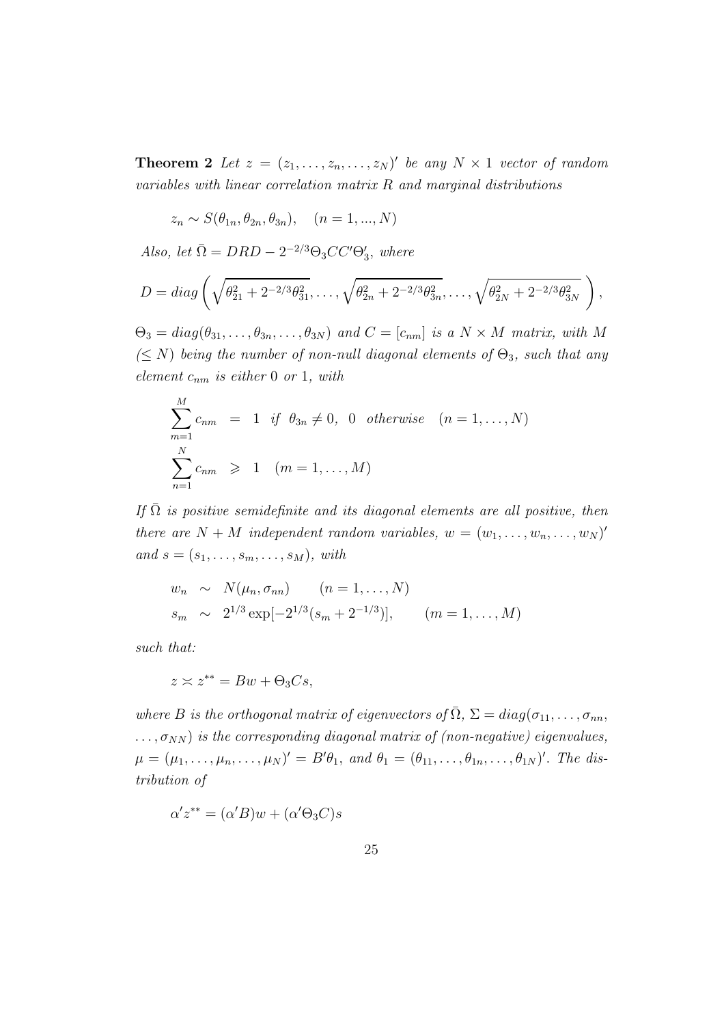**Theorem 2** Let  $z = (z_1, \ldots, z_n, \ldots, z_N)'$  be any  $N \times 1$  vector of random variables with linear correlation matrix  $R$  and marginal distributions

$$
z_n \sim S(\theta_{1n}, \theta_{2n}, \theta_{3n}), \quad (n = 1, ..., N)
$$

Also, let  $\overline{\Omega} = DRD - 2^{-2/3}\Theta_3CC'\Theta_3'$ , where

$$
D = diag\left(\sqrt{\theta_{21}^2 + 2^{-2/3}\theta_{31}^2}, \ldots, \sqrt{\theta_{2n}^2 + 2^{-2/3}\theta_{3n}^2}, \ldots, \sqrt{\theta_{2N}^2 + 2^{-2/3}\theta_{3N}^2}\right),
$$

 $\Theta_3 = diag(\theta_{31}, \ldots, \theta_{3n}, \ldots, \theta_{3N})$  and  $C = [c_{nm}]$  is a  $N \times M$  matrix, with M  $(\leq N)$  being the number of non-null diagonal elements of  $\Theta_3$ , such that any element  $c_{nm}$  is either 0 or 1, with

$$
\sum_{m=1}^{M} c_{nm} = 1 \text{ if } \theta_{3n} \neq 0, \ 0 \text{ otherwise } (n = 1, ..., N)
$$
  

$$
\sum_{n=1}^{N} c_{nm} \geq 1 \quad (m = 1, ..., M)
$$

If  $\overline{\Omega}$  is positive semidefinite and its diagonal elements are all positive, then there are  $N + M$  independent random variables,  $w = (w_1, \ldots, w_n, \ldots, w_N)'$ and  $s = (s_1, \ldots, s_m, \ldots, s_M)$ , with

$$
w_n \sim N(\mu_n, \sigma_{nn}) \quad (n = 1, ..., N)
$$
  
\n
$$
s_m \sim 2^{1/3} \exp[-2^{1/3}(s_m + 2^{-1/3})], \quad (m = 1, ..., M)
$$

such that:

$$
z \asymp z^{**} = Bw + \Theta_3 Cs,
$$

where B is the orthogonal matrix of eigenvectors of  $\overline{\Omega}$ ,  $\Sigma = diag(\sigma_{11}, \ldots, \sigma_{nn},$  $\ldots, \sigma_{NN}$ ) is the corresponding diagonal matrix of (non-negative) eigenvalues,  $\mu = (\mu_1, \ldots, \mu_n, \ldots, \mu_N)' = B'\theta_1$ , and  $\theta_1 = (\theta_{11}, \ldots, \theta_{1n}, \ldots, \theta_{1N})'$ . The distribution of

$$
\alpha' z^{**} = (\alpha' B) w + (\alpha' \Theta_3 C) s
$$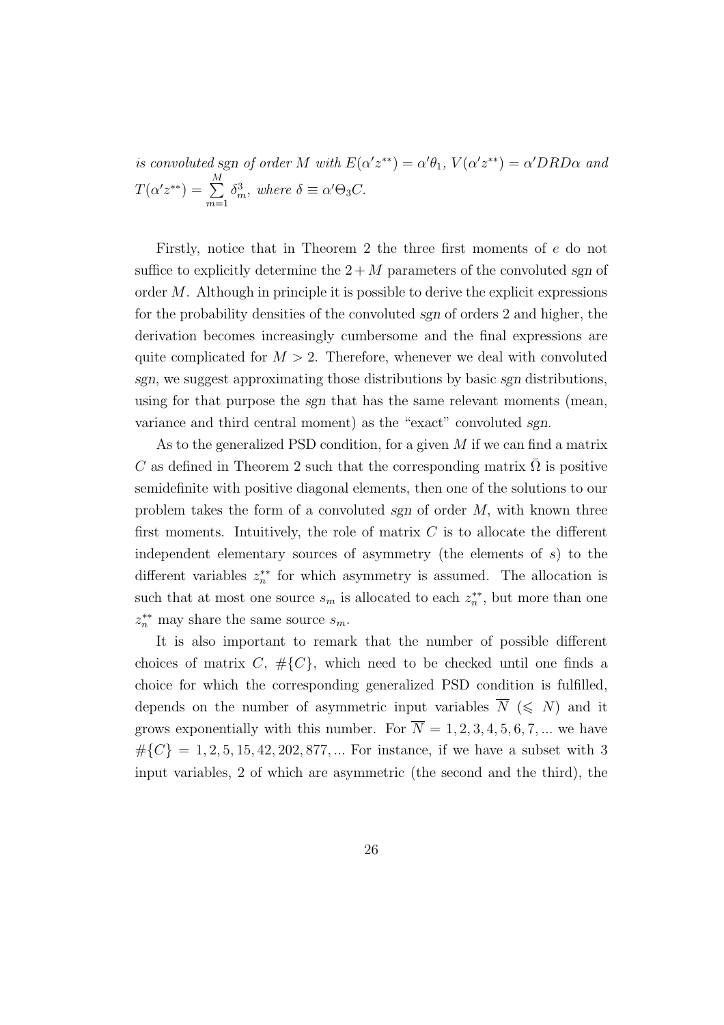is convoluted sgn of order M with  $E(\alpha' z^{**}) = \alpha' \theta_1$ ,  $V(\alpha' z^{**}) = \alpha' DRD\alpha$  and  $T(\alpha' z^{**}) = \sum^{M}$  $m=1$  $\delta_m^3$ , where  $\delta \equiv \alpha' \Theta_3 C$ .

Firstly, notice that in Theorem 2 the three first moments of e do not suffice to explicitly determine the  $2 + M$  parameters of the convoluted sgn of order M. Although in principle it is possible to derive the explicit expressions for the probability densities of the convoluted sgn of orders 2 and higher, the derivation becomes increasingly cumbersome and the final expressions are quite complicated for  $M > 2$ . Therefore, whenever we deal with convoluted sgn, we suggest approximating those distributions by basic sgn distributions, using for that purpose the sgn that has the same relevant moments (mean, variance and third central moment) as the "exact" convoluted sgn.

As to the generalized PSD condition, for a given  $M$  if we can find a matrix C as defined in Theorem 2 such that the corresponding matrix  $\Omega$  is positive semidefinite with positive diagonal elements, then one of the solutions to our problem takes the form of a convoluted sgn of order M, with known three first moments. Intuitively, the role of matrix  $C$  is to allocate the different independent elementary sources of asymmetry (the elements of  $s$ ) to the different variables  $z_n^{**}$  for which asymmetry is assumed. The allocation is such that at most one source  $s_m$  is allocated to each  $z_n^{**}$ , but more than one  $z_n^{**}$  may share the same source  $s_m$ .

It is also important to remark that the number of possible different choices of matrix C,  $\#{C}$ , which need to be checked until one finds a choice for which the corresponding generalized PSD condition is fulfilled, depends on the number of asymmetric input variables  $\overline{N} \leq N$  and it grows exponentially with this number. For  $\overline{N} = 1, 2, 3, 4, 5, 6, 7, ...$  we have  $\#\{C\} = 1, 2, 5, 15, 42, 202, 877, \dots$  For instance, if we have a subset with 3 input variables, 2 of which are asymmetric (the second and the third), the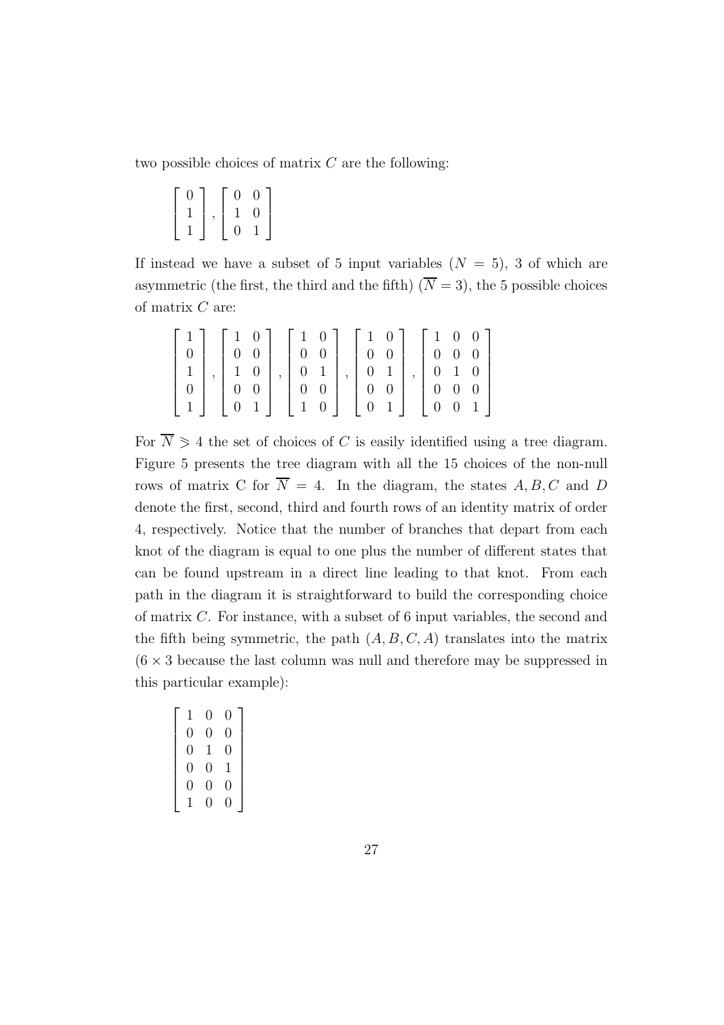two possible choices of matrix  $C$  are the following:

| N | $\overline{0}$ | $\theta$ |  |
|---|----------------|----------|--|
|   | 1              | $\cup$   |  |
|   | 0              |          |  |

If instead we have a subset of 5 input variables  $(N = 5)$ , 3 of which are asymmetric (the first, the third and the fifth)  $(\overline{N} = 3)$ , the 5 possible choices of matrix  $C$  are:

| $1 \perp$ |                                       |                                                               | $\begin{bmatrix} 1 & 0 \end{bmatrix}$                                  |  | $\begin{bmatrix} 1 & 0 \end{bmatrix}$                     |                  |                     | $\begin{bmatrix} 1 & 0 & 0 \end{bmatrix}$ |
|-----------|---------------------------------------|---------------------------------------------------------------|------------------------------------------------------------------------|--|-----------------------------------------------------------|------------------|---------------------|-------------------------------------------|
|           |                                       | $\left[\begin{array}{cc} 1 & 0 \\ 0 & 0 \end{array}\right]$   | $\begin{array}{c c c c} \n\hline\nI & 0 & 0 \\ 0 & 0 & 0\n\end{array}$ |  | $\begin{array}{ c c } \hline 0 & 0 \\ \hline \end{array}$ |                  | $0\quad 0\quad 0$   |                                           |
|           |                                       |                                                               |                                                                        |  |                                                           |                  | $0 \quad 1 \quad 0$ |                                           |
|           |                                       | $\left[\begin{array}{cc} 1 & 0 \\ 0 & 0 \end{array}\right]$ , |                                                                        |  | $\begin{matrix} 0 & 1 \\ 0 & 0 \end{matrix}$              | $\boldsymbol{0}$ | $0\quad 0$          |                                           |
| $1\vert$  | $\begin{pmatrix} 0 & 1 \end{pmatrix}$ |                                                               | $\begin{bmatrix} 0 & 1 \\ 0 & 1 \\ 0 & 0 \\ 1 & 0 \end{bmatrix}$       |  | $\begin{bmatrix} 0 & 1 \end{bmatrix}$                     |                  | $0 \quad 0 \quad 1$ |                                           |

For  $\overline{N} \geq 4$  the set of choices of C is easily identified using a tree diagram. Figure 5 presents the tree diagram with all the 15 choices of the non-null rows of matrix C for  $\overline{N} = 4$ . In the diagram, the states A, B, C and D denote the first, second, third and fourth rows of an identity matrix of order 4, respectively. Notice that the number of branches that depart from each knot of the diagram is equal to one plus the number of different states that can be found upstream in a direct line leading to that knot. From each path in the diagram it is straightforward to build the corresponding choice of matrix C. For instance, with a subset of 6 input variables, the second and the fifth being symmetric, the path  $(A, B, C, A)$  translates into the matrix  $(6 \times 3)$  because the last column was null and therefore may be suppressed in this particular example):

| 1              | 0 | 0 |
|----------------|---|---|
| 0              | 0 | 0 |
| $\overline{0}$ | 1 | 0 |
| 0              | 0 | 1 |
| 0              | 0 | 0 |
| 1              | 0 | 0 |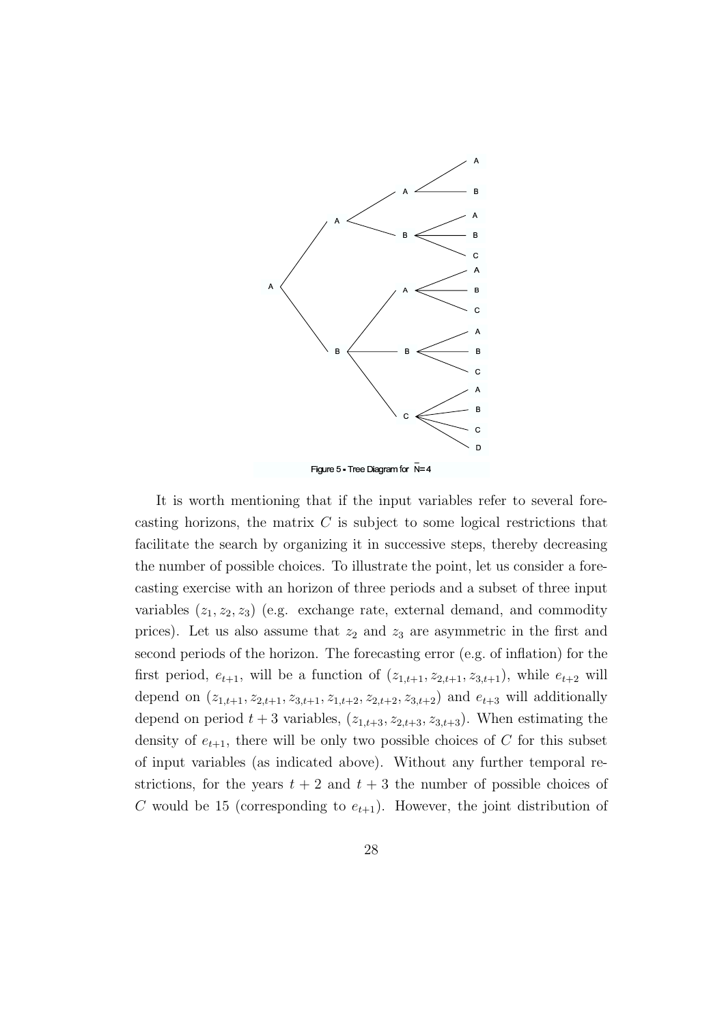

It is worth mentioning that if the input variables refer to several forecasting horizons, the matrix  $C$  is subject to some logical restrictions that facilitate the search by organizing it in successive steps, thereby decreasing the number of possible choices. To illustrate the point, let us consider a forecasting exercise with an horizon of three periods and a subset of three input variables  $(z_1, z_2, z_3)$  (e.g. exchange rate, external demand, and commodity prices). Let us also assume that  $z_2$  and  $z_3$  are asymmetric in the first and second periods of the horizon. The forecasting error (e.g. of inflation) for the first period,  $e_{t+1}$ , will be a function of  $(z_{1,t+1}, z_{2,t+1}, z_{3,t+1})$ , while  $e_{t+2}$  will depend on  $(z_{1,t+1}, z_{2,t+1}, z_{3,t+1}, z_{1,t+2}, z_{2,t+2}, z_{3,t+2})$  and  $e_{t+3}$  will additionally depend on period  $t + 3$  variables,  $(z_{1,t+3}, z_{2,t+3}, z_{3,t+3})$ . When estimating the density of  $e_{t+1}$ , there will be only two possible choices of C for this subset of input variables (as indicated above). Without any further temporal restrictions, for the years  $t + 2$  and  $t + 3$  the number of possible choices of C would be 15 (corresponding to  $e_{t+1}$ ). However, the joint distribution of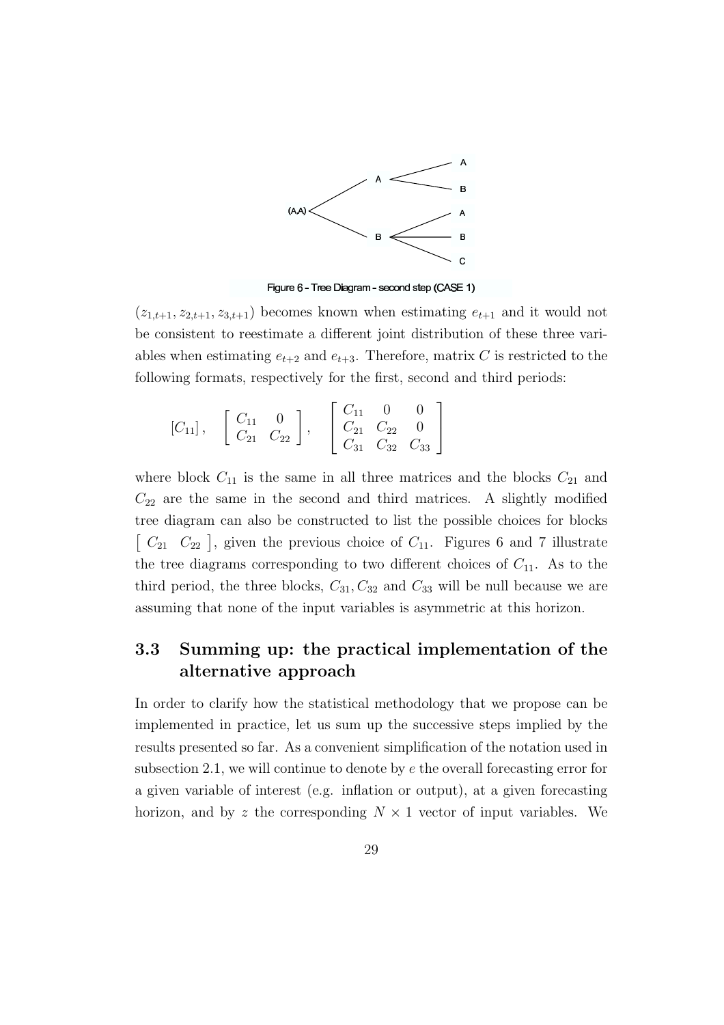

Figure 6 - Tree Diagram - second step (CASE 1)

 $(z_{1,t+1}, z_{2,t+1}, z_{3,t+1})$  becomes known when estimating  $e_{t+1}$  and it would not be consistent to reestimate a different joint distribution of these three variables when estimating  $e_{t+2}$  and  $e_{t+3}$ . Therefore, matrix C is restricted to the following formats, respectively for the first, second and third periods:

$$
[C_{11}], \quad \begin{bmatrix} C_{11} & 0 \ C_{21} & C_{22} \end{bmatrix}, \quad \begin{bmatrix} C_{11} & 0 & 0 \ C_{21} & C_{22} & 0 \ C_{31} & C_{32} & C_{33} \end{bmatrix}
$$

where block  $C_{11}$  is the same in all three matrices and the blocks  $C_{21}$  and  $C_{22}$  are the same in the second and third matrices. A slightly modified tree diagram can also be constructed to list the possible choices for blocks  $\begin{bmatrix} C_{21} & C_{22} \end{bmatrix}$ , given the previous choice of  $C_{11}$ . Figures 6 and 7 illustrate the tree diagrams corresponding to two different choices of  $C_{11}$ . As to the third period, the three blocks,  $C_{31}$ ,  $C_{32}$  and  $C_{33}$  will be null because we are assuming that none of the input variables is asymmetric at this horizon.

### 3.3 Summing up: the practical implementation of the alternative approach

In order to clarify how the statistical methodology that we propose can be implemented in practice, let us sum up the successive steps implied by the results presented so far. As a convenient simplification of the notation used in subsection 2.1, we will continue to denote by  $e$  the overall forecasting error for a given variable of interest (e.g. inflation or output), at a given forecasting horizon, and by z the corresponding  $N \times 1$  vector of input variables. We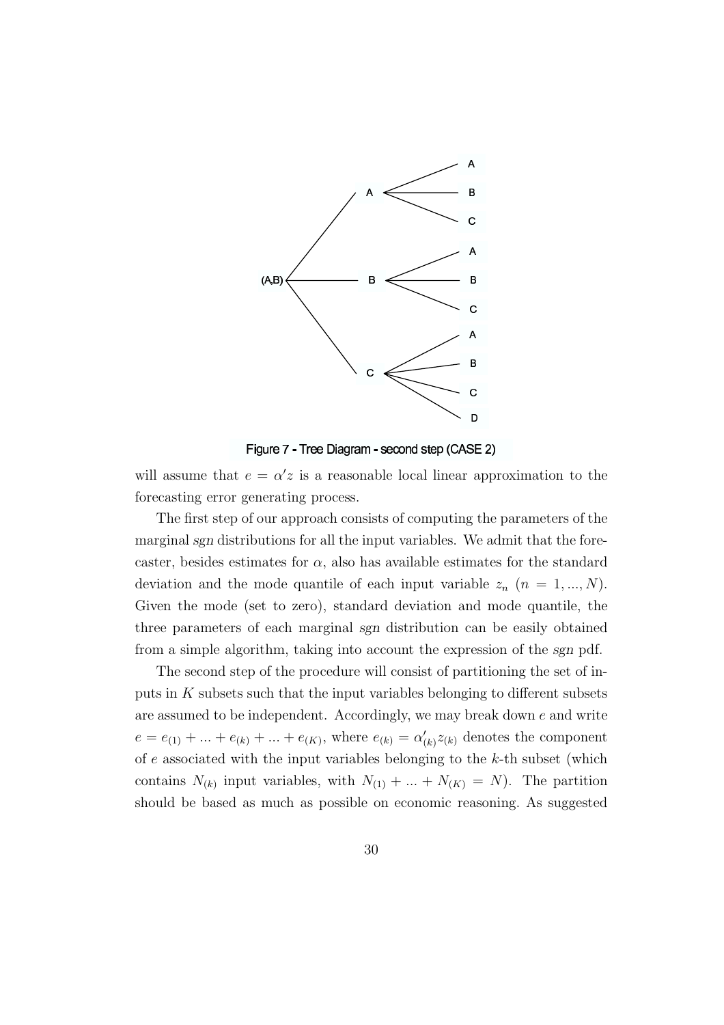

Figure 7 - Tree Diagram - second step (CASE 2)

will assume that  $e = \alpha' z$  is a reasonable local linear approximation to the forecasting error generating process.

The first step of our approach consists of computing the parameters of the marginal sgn distributions for all the input variables. We admit that the forecaster, besides estimates for  $\alpha$ , also has available estimates for the standard deviation and the mode quantile of each input variable  $z_n$   $(n = 1, ..., N)$ . Given the mode (set to zero), standard deviation and mode quantile, the three parameters of each marginal sgn distribution can be easily obtained from a simple algorithm, taking into account the expression of the sgn pdf.

The second step of the procedure will consist of partitioning the set of inputs in  $K$  subsets such that the input variables belonging to different subsets are assumed to be independent. Accordingly, we may break down  $e$  and write  $e = e_{(1)} + \ldots + e_{(k)} + \ldots + e_{(K)}$ , where  $e_{(k)} = \alpha'_{(k)} z_{(k)}$  denotes the component of  $e$  associated with the input variables belonging to the  $k$ -th subset (which contains  $N_{(k)}$  input variables, with  $N_{(1)} + ... + N_{(K)} = N$ . The partition should be based as much as possible on economic reasoning. As suggested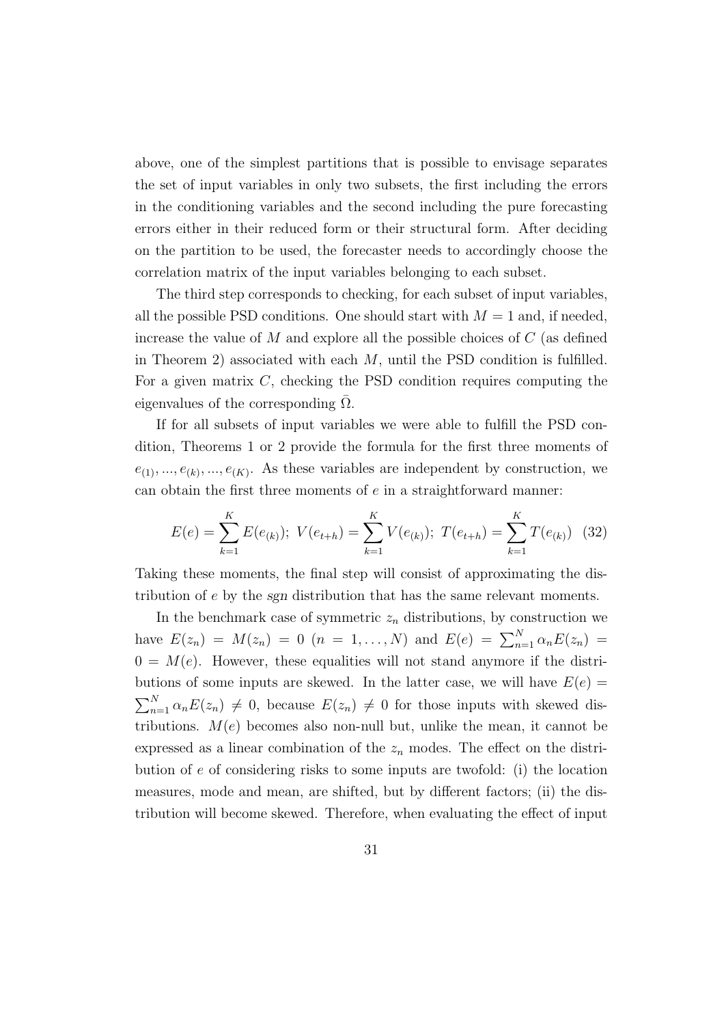above, one of the simplest partitions that is possible to envisage separates the set of input variables in only two subsets, the first including the errors in the conditioning variables and the second including the pure forecasting errors either in their reduced form or their structural form. After deciding on the partition to be used, the forecaster needs to accordingly choose the correlation matrix of the input variables belonging to each subset.

The third step corresponds to checking, for each subset of input variables, all the possible PSD conditions. One should start with  $M = 1$  and, if needed, increase the value of  $M$  and explore all the possible choices of  $C$  (as defined in Theorem 2) associated with each  $M$ , until the PSD condition is fulfilled. For a given matrix  $C$ , checking the PSD condition requires computing the eigenvalues of the corresponding  $\Omega$ .

If for all subsets of input variables we were able to fulfill the PSD condition, Theorems 1 or 2 provide the formula for the first three moments of  $e_{(1)},...,e_{(k)},...,e_{(K)}$ . As these variables are independent by construction, we can obtain the first three moments of e in a straightforward manner:

$$
E(e) = \sum_{k=1}^{K} E(e_{(k)}); \ V(e_{t+h}) = \sum_{k=1}^{K} V(e_{(k)}); \ T(e_{t+h}) = \sum_{k=1}^{K} T(e_{(k)}) \tag{32}
$$

Taking these moments, the final step will consist of approximating the distribution of e by the sgn distribution that has the same relevant moments.

In the benchmark case of symmetric  $z_n$  distributions, by construction we have  $E(z_n) = M(z_n) = 0$   $(n = 1, ..., N)$  and  $E(e) = \sum_{n=1}^{N} \alpha_n E(z_n) =$  $0 = M(e)$ . However, these equalities will not stand anymore if the distributions of some inputs are skewed. In the latter case, we will have  $E(e)$  $\sum_{n=1}^{N} \alpha_n E(z_n) \neq 0$ , because  $E(z_n) \neq 0$  for those inputs with skewed distributions.  $M(e)$  becomes also non-null but, unlike the mean, it cannot be expressed as a linear combination of the  $z_n$  modes. The effect on the distribution of e of considering risks to some inputs are twofold: (i) the location measures, mode and mean, are shifted, but by different factors; (ii) the distribution will become skewed. Therefore, when evaluating the effect of input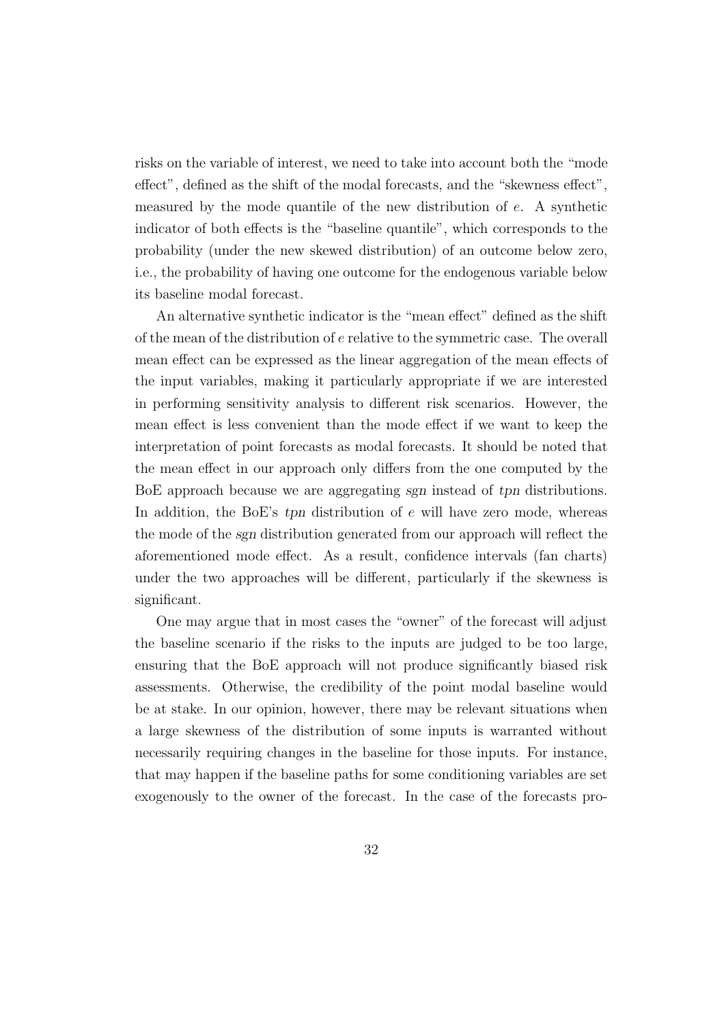risks on the variable of interest, we need to take into account both the "mode effect", defined as the shift of the modal forecasts, and the "skewness effect", measured by the mode quantile of the new distribution of e. A synthetic indicator of both effects is the "baseline quantile", which corresponds to the probability (under the new skewed distribution) of an outcome below zero, i.e., the probability of having one outcome for the endogenous variable below its baseline modal forecast.

An alternative synthetic indicator is the "mean effect" defined as the shift of the mean of the distribution of e relative to the symmetric case. The overall mean effect can be expressed as the linear aggregation of the mean effects of the input variables, making it particularly appropriate if we are interested in performing sensitivity analysis to different risk scenarios. However, the mean effect is less convenient than the mode effect if we want to keep the interpretation of point forecasts as modal forecasts. It should be noted that the mean effect in our approach only differs from the one computed by the BoE approach because we are aggregating sgn instead of tpn distributions. In addition, the BoE's  $tpn$  distribution of  $e$  will have zero mode, whereas the mode of the sgn distribution generated from our approach will reflect the aforementioned mode effect. As a result, confidence intervals (fan charts) under the two approaches will be different, particularly if the skewness is significant.

One may argue that in most cases the "owner" of the forecast will adjust the baseline scenario if the risks to the inputs are judged to be too large, ensuring that the BoE approach will not produce significantly biased risk assessments. Otherwise, the credibility of the point modal baseline would be at stake. In our opinion, however, there may be relevant situations when a large skewness of the distribution of some inputs is warranted without necessarily requiring changes in the baseline for those inputs. For instance, that may happen if the baseline paths for some conditioning variables are set exogenously to the owner of the forecast. In the case of the forecasts pro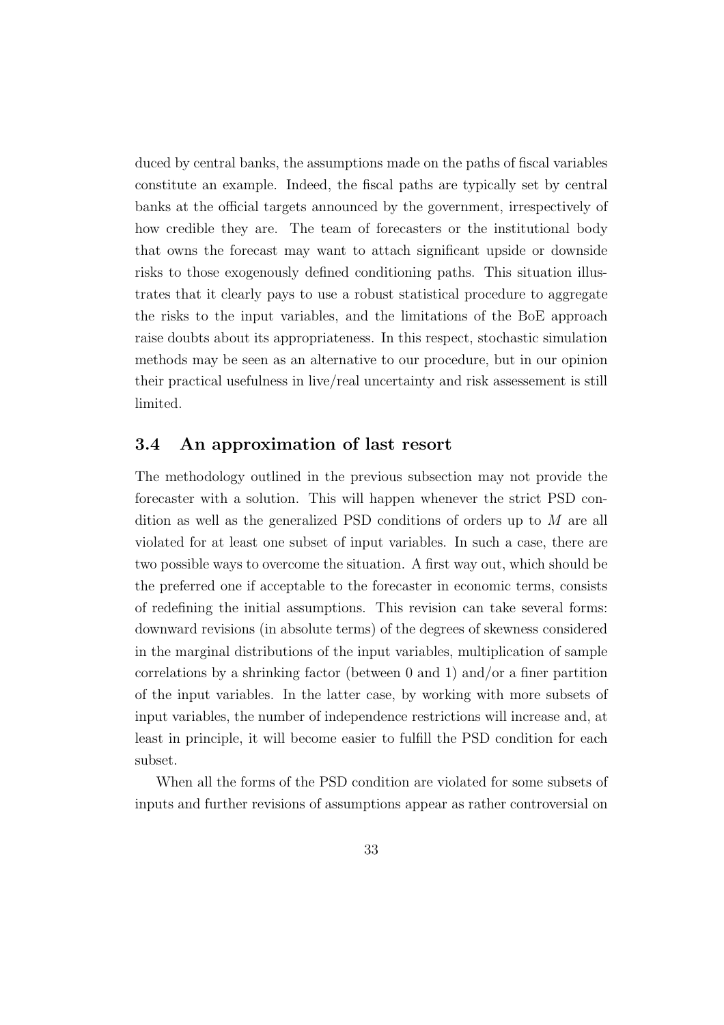duced by central banks, the assumptions made on the paths of fiscal variables constitute an example. Indeed, the fiscal paths are typically set by central banks at the official targets announced by the government, irrespectively of how credible they are. The team of forecasters or the institutional body that owns the forecast may want to attach significant upside or downside risks to those exogenously defined conditioning paths. This situation illustrates that it clearly pays to use a robust statistical procedure to aggregate the risks to the input variables, and the limitations of the BoE approach raise doubts about its appropriateness. In this respect, stochastic simulation methods may be seen as an alternative to our procedure, but in our opinion their practical usefulness in live/real uncertainty and risk assessement is still limited.

#### 3.4 An approximation of last resort

The methodology outlined in the previous subsection may not provide the forecaster with a solution. This will happen whenever the strict PSD condition as well as the generalized PSD conditions of orders up to M are all violated for at least one subset of input variables. In such a case, there are two possible ways to overcome the situation. A first way out, which should be the preferred one if acceptable to the forecaster in economic terms, consists of redefining the initial assumptions. This revision can take several forms: downward revisions (in absolute terms) of the degrees of skewness considered in the marginal distributions of the input variables, multiplication of sample correlations by a shrinking factor (between 0 and 1) and/or a finer partition of the input variables. In the latter case, by working with more subsets of input variables, the number of independence restrictions will increase and, at least in principle, it will become easier to fulfill the PSD condition for each subset.

When all the forms of the PSD condition are violated for some subsets of inputs and further revisions of assumptions appear as rather controversial on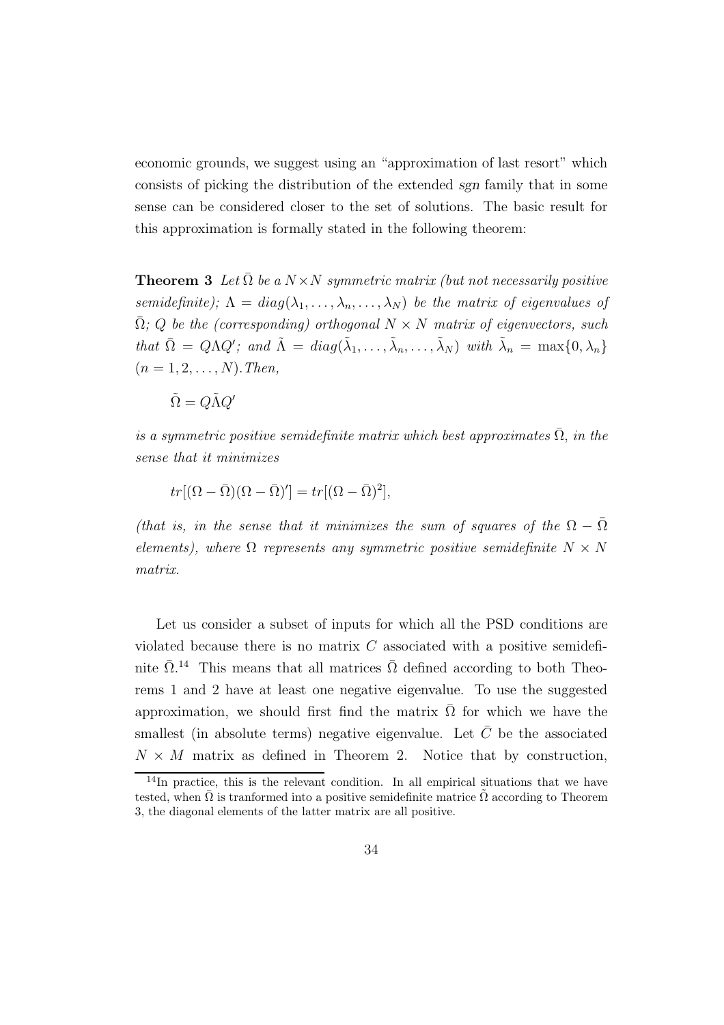economic grounds, we suggest using an "approximation of last resort" which consists of picking the distribution of the extended sgn family that in some sense can be considered closer to the set of solutions. The basic result for this approximation is formally stated in the following theorem:

**Theorem 3** Let  $\overline{\Omega}$  be a  $N \times N$  symmetric matrix (but not necessarily positive semidefinite);  $\Lambda = diag(\lambda_1, \ldots, \lambda_n, \ldots, \lambda_N)$  be the matrix of eigenvalues of  $\overline{\Omega}$ ; Q be the (corresponding) orthogonal  $N \times N$  matrix of eigenvectors, such that  $\overline{\Omega} = Q \Lambda Q'$ ; and  $\tilde{\Lambda} = diag(\tilde{\lambda}_1, \ldots, \tilde{\lambda}_n, \ldots, \tilde{\lambda}_N)$  with  $\tilde{\lambda}_n = \max\{0, \lambda_n\}$  $(n = 1, 2, \ldots, N)$ . Then,

$$
\tilde{\Omega}=Q\tilde{\Lambda}Q'
$$

is a symmetric positive semidefinite matrix which best approximates  $\overline{\Omega}$ , in the sense that it minimizes

$$
tr[(\Omega - \bar{\Omega})(\Omega - \bar{\Omega})'] = tr[(\Omega - \bar{\Omega})^2],
$$

(that is, in the sense that it minimizes the sum of squares of the  $\Omega - \overline{\Omega}$ elements), where  $\Omega$  represents any symmetric positive semidefinite  $N \times N$ matrix.

Let us consider a subset of inputs for which all the PSD conditions are violated because there is no matrix  $C$  associated with a positive semidefinite  $\bar{\Omega}$ <sup>14</sup> This means that all matrices  $\bar{\Omega}$  defined according to both Theorems 1 and 2 have at least one negative eigenvalue. To use the suggested approximation, we should first find the matrix  $\overline{\Omega}$  for which we have the smallest (in absolute terms) negative eigenvalue. Let  $\overline{C}$  be the associated  $N \times M$  matrix as defined in Theorem 2. Notice that by construction,

 $14$ In practice, this is the relevant condition. In all empirical situations that we have tested, when  $\overline{\Omega}$  is tranformed into a positive semidefinite matrice  $\tilde{\Omega}$  according to Theorem 3, the diagonal elements of the latter matrix are all positive.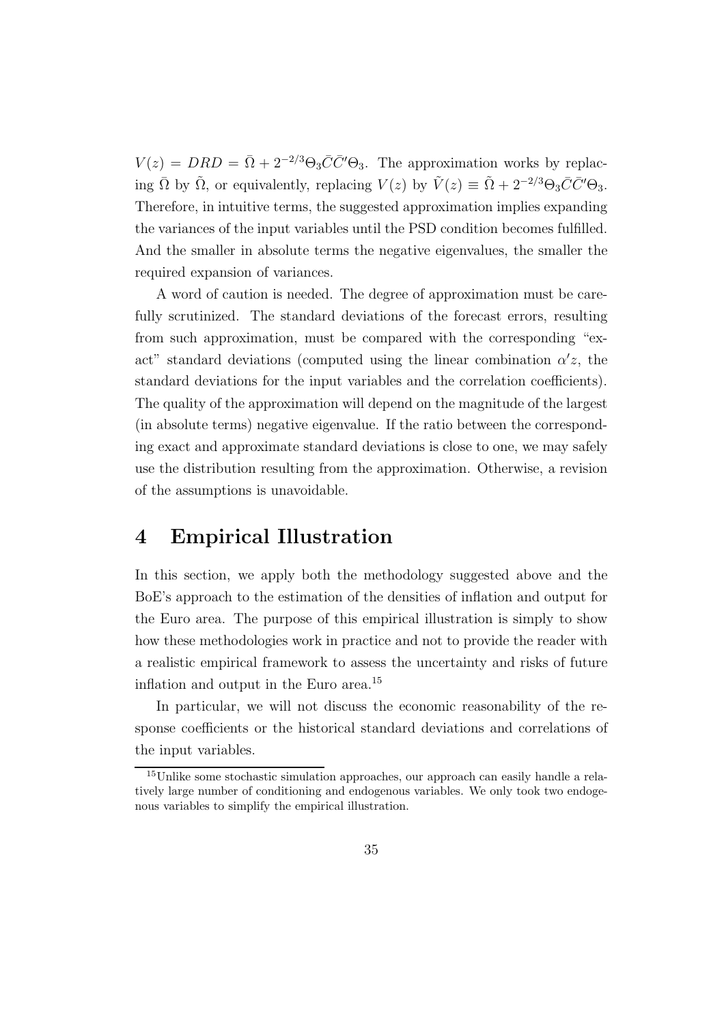$V(z) = DRD = \overline{\Omega} + 2^{-2/3} \Theta_3 \overline{C} \overline{C}' \Theta_3$ . The approximation works by replacing  $\overline{\Omega}$  by  $\tilde{\Omega}$ , or equivalently, replacing  $V(z)$  by  $\tilde{V}(z) \equiv \tilde{\Omega} + 2^{-2/3} \Theta_3 \overline{C} \overline{C}^{\prime\prime} \Theta_3$ . Therefore, in intuitive terms, the suggested approximation implies expanding the variances of the input variables until the PSD condition becomes fulfilled. And the smaller in absolute terms the negative eigenvalues, the smaller the required expansion of variances.

A word of caution is needed. The degree of approximation must be carefully scrutinized. The standard deviations of the forecast errors, resulting from such approximation, must be compared with the corresponding "exact" standard deviations (computed using the linear combination  $\alpha' z$ , the standard deviations for the input variables and the correlation coefficients). The quality of the approximation will depend on the magnitude of the largest (in absolute terms) negative eigenvalue. If the ratio between the corresponding exact and approximate standard deviations is close to one, we may safely use the distribution resulting from the approximation. Otherwise, a revision of the assumptions is unavoidable.

### 4 Empirical Illustration

In this section, we apply both the methodology suggested above and the BoE's approach to the estimation of the densities of inflation and output for the Euro area. The purpose of this empirical illustration is simply to show how these methodologies work in practice and not to provide the reader with a realistic empirical framework to assess the uncertainty and risks of future inflation and output in the Euro area.<sup>15</sup>

In particular, we will not discuss the economic reasonability of the response coefficients or the historical standard deviations and correlations of the input variables.

<sup>&</sup>lt;sup>15</sup>Unlike some stochastic simulation approaches, our approach can easily handle a relatively large number of conditioning and endogenous variables. We only took two endogenous variables to simplify the empirical illustration.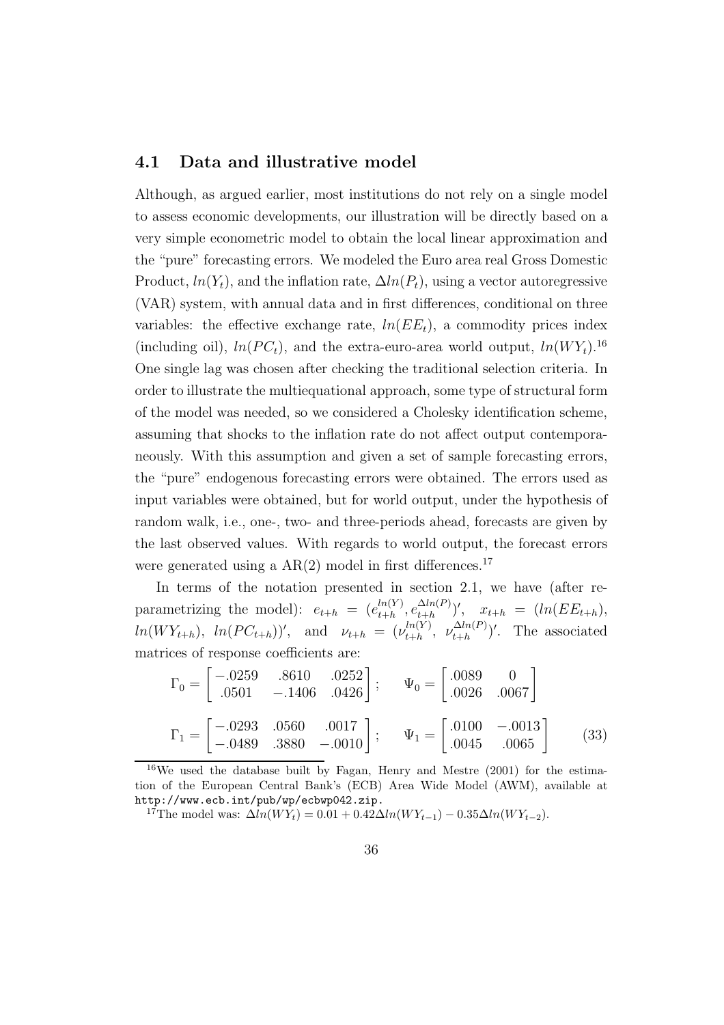#### 4.1 Data and illustrative model

Although, as argued earlier, most institutions do not rely on a single model to assess economic developments, our illustration will be directly based on a very simple econometric model to obtain the local linear approximation and the "pure" forecasting errors. We modeled the Euro area real Gross Domestic Product,  $ln(Y_t)$ , and the inflation rate,  $\Delta ln(P_t)$ , using a vector autoregressive (VAR) system, with annual data and in first differences, conditional on three variables: the effective exchange rate,  $ln(EE_t)$ , a commodity prices index (including oil),  $ln(PC_t)$ , and the extra-euro-area world output,  $ln(WY_t)$ <sup>16</sup> One single lag was chosen after checking the traditional selection criteria. In order to illustrate the multiequational approach, some type of structural form of the model was needed, so we considered a Cholesky identification scheme, assuming that shocks to the inflation rate do not affect output contemporaneously. With this assumption and given a set of sample forecasting errors, the "pure" endogenous forecasting errors were obtained. The errors used as input variables were obtained, but for world output, under the hypothesis of random walk, i.e., one-, two- and three-periods ahead, forecasts are given by the last observed values. With regards to world output, the forecast errors were generated using a  $AR(2)$  model in first differences.<sup>17</sup>

In terms of the notation presented in section 2.1, we have (after reparametrizing the model):  $e_{t+h} = (e_{t+h}^{ln(Y)})$  $\frac{ln(Y)}{t+h}, e^{\Delta ln(P)}$  $\frac{\Delta t n(F)}{t+h})', \quad x_{t+h} = (ln(EE_{t+h}),$  $ln(WY_{t+h}), ln(PC_{t+h}))'$ , and  $\nu_{t+h} = (\nu_{t+h}^{ln(Y)})$  $\frac{\ln(Y)}{t+h}, \ \nu \frac{\Delta \ln(P)}{t+h}$  $\binom{\Delta t n(F)}{t+h}$ . The associated matrices of response coefficients are:

$$
\Gamma_0 = \begin{bmatrix} -.0259 & .8610 & .0252 \\ .0501 & -.1406 & .0426 \end{bmatrix}; \qquad \Psi_0 = \begin{bmatrix} .0089 & 0 \\ .0026 & .0067 \end{bmatrix}
$$

$$
\Gamma_1 = \begin{bmatrix} -.0293 & .0560 & .0017 \\ -.0489 & .3880 & -.0010 \end{bmatrix}; \qquad \Psi_1 = \begin{bmatrix} .0100 & -.0013 \\ .0045 & .0065 \end{bmatrix}
$$
(33)

<sup>16</sup>We used the database built by Fagan, Henry and Mestre (2001) for the estimation of the European Central Bank's (ECB) Area Wide Model (AWM), available at http://www.ecb.int/pub/wp/ecbwp042.zip.

<sup>17</sup>The model was:  $\Delta ln(WY_t) = 0.01 + 0.42\Delta ln(WY_{t-1}) - 0.35\Delta ln(WY_{t-2})$ .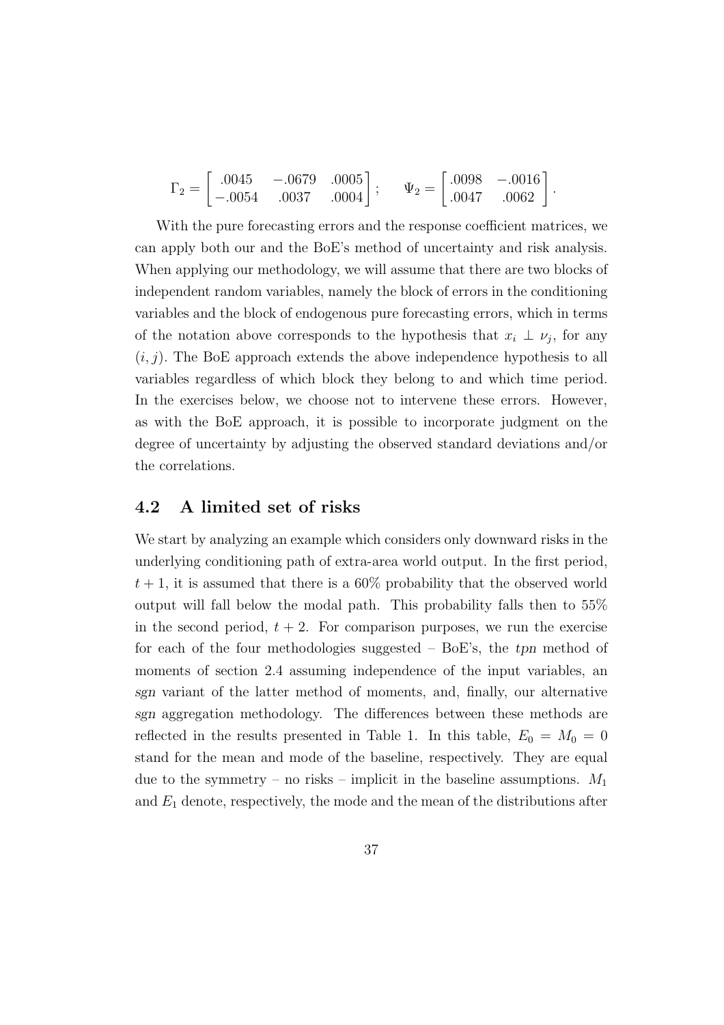$$
\Gamma_2 = \begin{bmatrix} .0045 & -.0679 & .0005 \\ -.0054 & .0037 & .0004 \end{bmatrix}; \quad \Psi_2 = \begin{bmatrix} .0098 & -.0016 \\ .0047 & .0062 \end{bmatrix}.
$$

With the pure forecasting errors and the response coefficient matrices, we can apply both our and the BoE's method of uncertainty and risk analysis. When applying our methodology, we will assume that there are two blocks of independent random variables, namely the block of errors in the conditioning variables and the block of endogenous pure forecasting errors, which in terms of the notation above corresponds to the hypothesis that  $x_i \perp v_j$ , for any  $(i, j)$ . The BoE approach extends the above independence hypothesis to all variables regardless of which block they belong to and which time period. In the exercises below, we choose not to intervene these errors. However, as with the BoE approach, it is possible to incorporate judgment on the degree of uncertainty by adjusting the observed standard deviations and/or the correlations.

#### 4.2 A limited set of risks

We start by analyzing an example which considers only downward risks in the underlying conditioning path of extra-area world output. In the first period,  $t + 1$ , it is assumed that there is a 60% probability that the observed world output will fall below the modal path. This probability falls then to 55% in the second period,  $t + 2$ . For comparison purposes, we run the exercise for each of the four methodologies suggested  $-$  BoE's, the tpn method of moments of section 2.4 assuming independence of the input variables, an sgn variant of the latter method of moments, and, finally, our alternative sgn aggregation methodology. The differences between these methods are reflected in the results presented in Table 1. In this table,  $E_0 = M_0 = 0$ stand for the mean and mode of the baseline, respectively. They are equal due to the symmetry – no risks – implicit in the baseline assumptions.  $M_1$ and  $E_1$  denote, respectively, the mode and the mean of the distributions after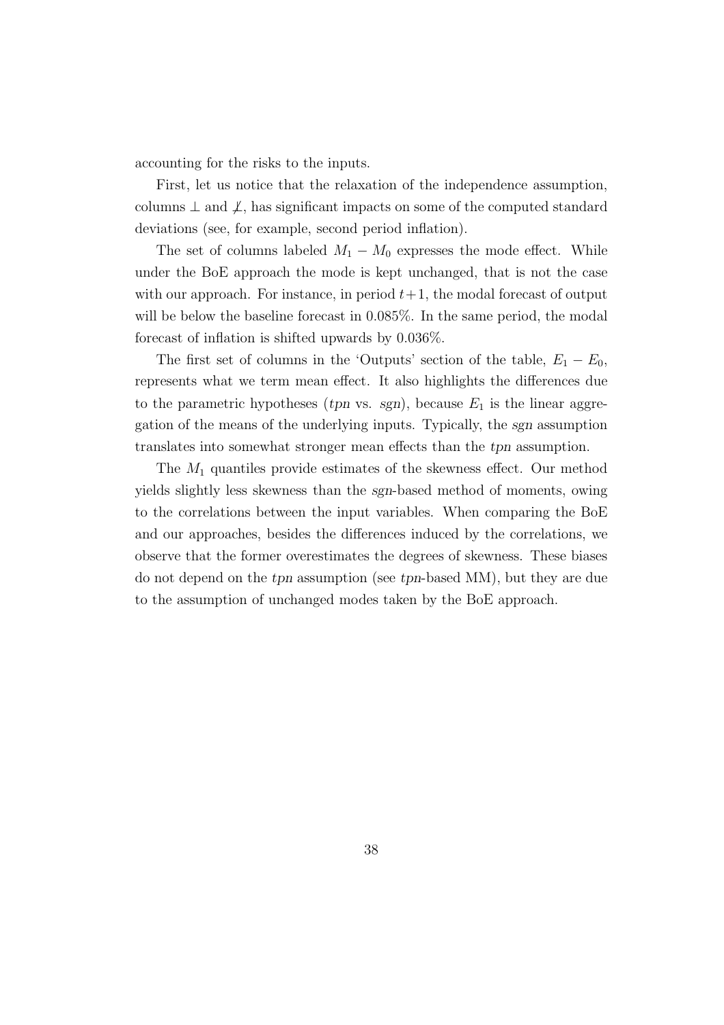accounting for the risks to the inputs.

First, let us notice that the relaxation of the independence assumption, columns  $\perp$  and  $\perp$ , has significant impacts on some of the computed standard deviations (see, for example, second period inflation).

The set of columns labeled  $M_1 - M_0$  expresses the mode effect. While under the BoE approach the mode is kept unchanged, that is not the case with our approach. For instance, in period  $t+1$ , the modal forecast of output will be below the baseline forecast in 0.085%. In the same period, the modal forecast of inflation is shifted upwards by 0.036%.

The first set of columns in the 'Outputs' section of the table,  $E_1 - E_0$ , represents what we term mean effect. It also highlights the differences due to the parametric hypotheses (*tpn* vs. sgn), because  $E_1$  is the linear aggregation of the means of the underlying inputs. Typically, the sgn assumption translates into somewhat stronger mean effects than the tpn assumption.

The  $M_1$  quantiles provide estimates of the skewness effect. Our method yields slightly less skewness than the sgn-based method of moments, owing to the correlations between the input variables. When comparing the BoE and our approaches, besides the differences induced by the correlations, we observe that the former overestimates the degrees of skewness. These biases do not depend on the tpn assumption (see tpn-based MM), but they are due to the assumption of unchanged modes taken by the BoE approach.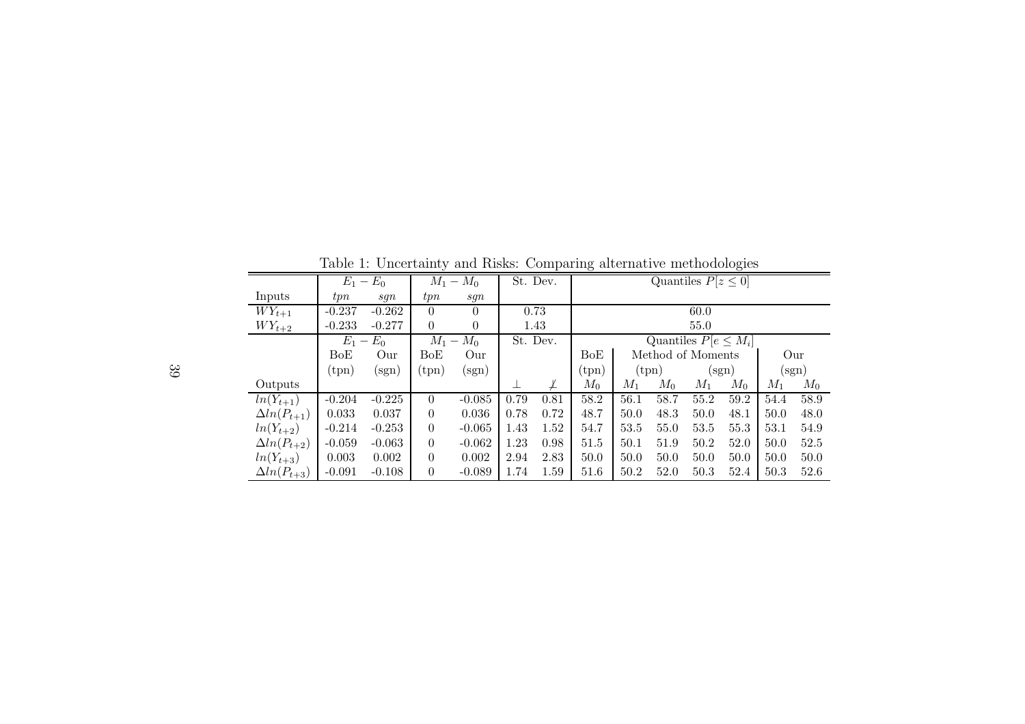Table 1: Uncertainty and Risks: Comparing alternative methodologies

|                      |                | $E_1 - E_0$                       | $M_1 -$        | $M_0$            |      | St. Dev. | Quantiles $P[z \leq 0]$   |       |                |                   |                  |       |                |
|----------------------|----------------|-----------------------------------|----------------|------------------|------|----------|---------------------------|-------|----------------|-------------------|------------------|-------|----------------|
| Inputs               | tpn            | sqn                               | tpn            | sgn              |      |          |                           |       |                |                   |                  |       |                |
| $WY_{t+1}$           | $-0.237$       | $-0.262$                          | $\left($       | $\theta$         |      | 0.73     |                           |       |                | 60.0              |                  |       |                |
| $WY_{t+2}$           | $-0.233$       | $-0.277$                          | $\theta$       | $\theta$         |      | 1.43     |                           |       |                | 55.0              |                  |       |                |
|                      | $E_1$          | $E_0$<br>$\overline{\phantom{a}}$ | $M_1 -$        | $M_0$            |      | St. Dev. | Quantiles $P[e \leq M_i]$ |       |                |                   |                  |       |                |
|                      | BoE            | Our                               | BoE            | Our              |      |          | BoE                       |       |                | Method of Moments |                  | Our   |                |
|                      | $(\text{tpn})$ | $(\mathrm{sgn})$                  | $(\text{tpn})$ | $(\mathrm{sgn})$ |      |          | $(\mathrm{tpn})$          |       | $(\text{tpn})$ |                   | $(\mathrm{sgn})$ |       | $(\text{sgn})$ |
| Outputs              |                |                                   |                |                  |      | ⊭        | $M_0$                     | $M_1$ | $M_0$          | $M_1$             | $M_0$            | $M_1$ | $M_0$          |
| $ln(Y_{t+1})$        | $-0.204$       | $-0.225$                          | $\theta$       | $-0.085$         | 0.79 | 0.81     | 58.2                      | 56.1  | 58.7           | 55.2              | 59.2             | 54.4  | 58.9           |
| $\Delta ln(P_{t+1})$ | 0.033          | 0.037                             | $\theta$       | 0.036            | 0.78 | 0.72     | 48.7                      | 50.0  | 48.3           | 50.0              | 48.1             | 50.0  | 48.0           |
| $ln(Y_{t+2})$        | $-0.214$       | $-0.253$                          | $\theta$       | $-0.065$         | 1.43 | 1.52     | 54.7                      | 53.5  | 55.0           | 53.5              | 55.3             | 53.1  | 54.9           |
| $\Delta ln(P_{t+2})$ | $-0.059$       | $-0.063$                          | $\theta$       | $-0.062$         | 1.23 | 0.98     | 51.5                      | 50.1  | 51.9           | 50.2              | 52.0             | 50.0  | 52.5           |
| $ln(Y_{t+3})$        | 0.003          | 0.002                             | $\theta$       | 0.002            | 2.94 | 2.83     | 50.0                      | 50.0  | 50.0           | 50.0              | 50.0             | 50.0  | 50.0           |
| $\Delta ln(P_{t+3})$ | $-0.091$       | $-0.108$                          | $\overline{0}$ | $-0.089$         | 1.74 | 1.59     | 51.6                      | 50.2  | 52.0           | 50.3              | 52.4             | 50.3  | 52.6           |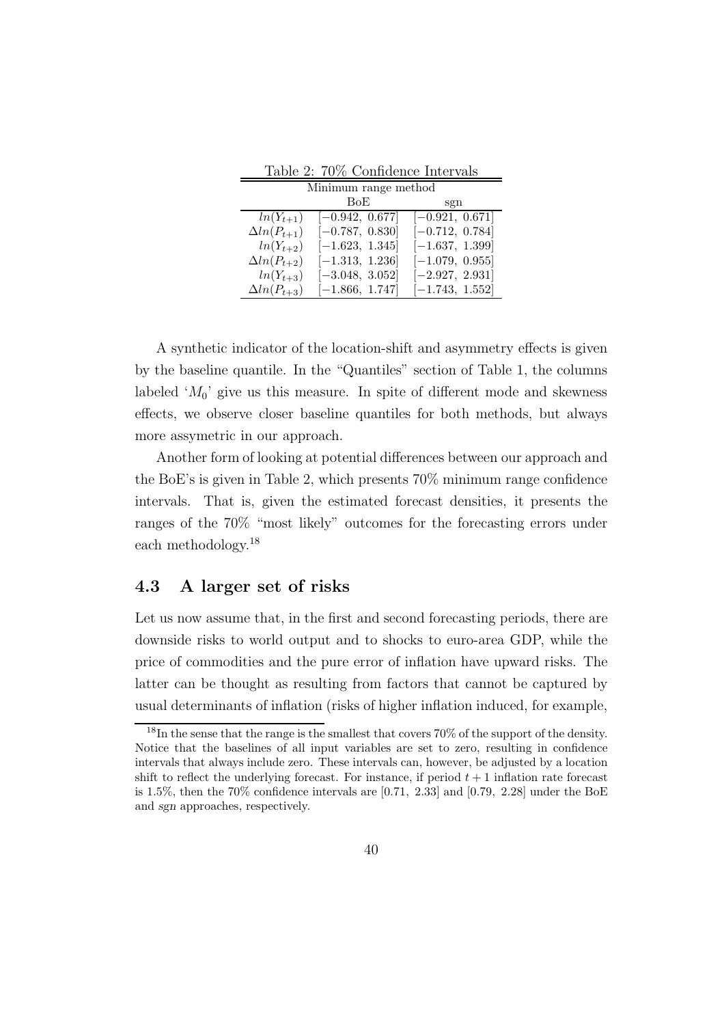| $\pm a$ <sub>2</sub> . $\pm 0$ /0 Connectice mode value |                   |                   |  |  |  |  |  |  |
|---------------------------------------------------------|-------------------|-------------------|--|--|--|--|--|--|
| Minimum range method                                    |                   |                   |  |  |  |  |  |  |
|                                                         | BoE               | sgn               |  |  |  |  |  |  |
| $ln(Y_{t+1})$                                           | $[-0.942, 0.677]$ | $[-0.921, 0.671]$ |  |  |  |  |  |  |
| $\Delta ln(P_{t+1})$                                    | $[-0.787, 0.830]$ | $[-0.712, 0.784]$ |  |  |  |  |  |  |
| $ln(Y_{t+2})$                                           | $[-1.623, 1.345]$ | $[-1.637, 1.399]$ |  |  |  |  |  |  |
| $\Delta ln(P_{t+2})$                                    | $[-1.313, 1.236]$ | $[-1.079, 0.955]$ |  |  |  |  |  |  |
| $ln(Y_{t+3})$                                           | $[-3.048, 3.052]$ | $[-2.927, 2.931]$ |  |  |  |  |  |  |
| $\Delta ln(P_{t+3})$                                    | $[-1.866, 1.747]$ | $[-1.743, 1.552]$ |  |  |  |  |  |  |

Table 2: 70% Confidence Intervals

A synthetic indicator of the location-shift and asymmetry effects is given by the baseline quantile. In the "Quantiles" section of Table 1, the columns labeled ' $M_0$ ' give us this measure. In spite of different mode and skewness effects, we observe closer baseline quantiles for both methods, but always more assymetric in our approach.

Another form of looking at potential differences between our approach and the BoE's is given in Table 2, which presents 70% minimum range confidence intervals. That is, given the estimated forecast densities, it presents the ranges of the 70% "most likely" outcomes for the forecasting errors under each methodology.<sup>18</sup>

#### 4.3 A larger set of risks

Let us now assume that, in the first and second forecasting periods, there are downside risks to world output and to shocks to euro-area GDP, while the price of commodities and the pure error of inflation have upward risks. The latter can be thought as resulting from factors that cannot be captured by usual determinants of inflation (risks of higher inflation induced, for example,

<sup>18</sup>In the sense that the range is the smallest that covers 70% of the support of the density. Notice that the baselines of all input variables are set to zero, resulting in confidence intervals that always include zero. These intervals can, however, be adjusted by a location shift to reflect the underlying forecast. For instance, if period  $t + 1$  inflation rate forecast is 1.5%, then the 70% confidence intervals are  $[0.71, 2.33]$  and  $[0.79, 2.28]$  under the BoE and sgn approaches, respectively.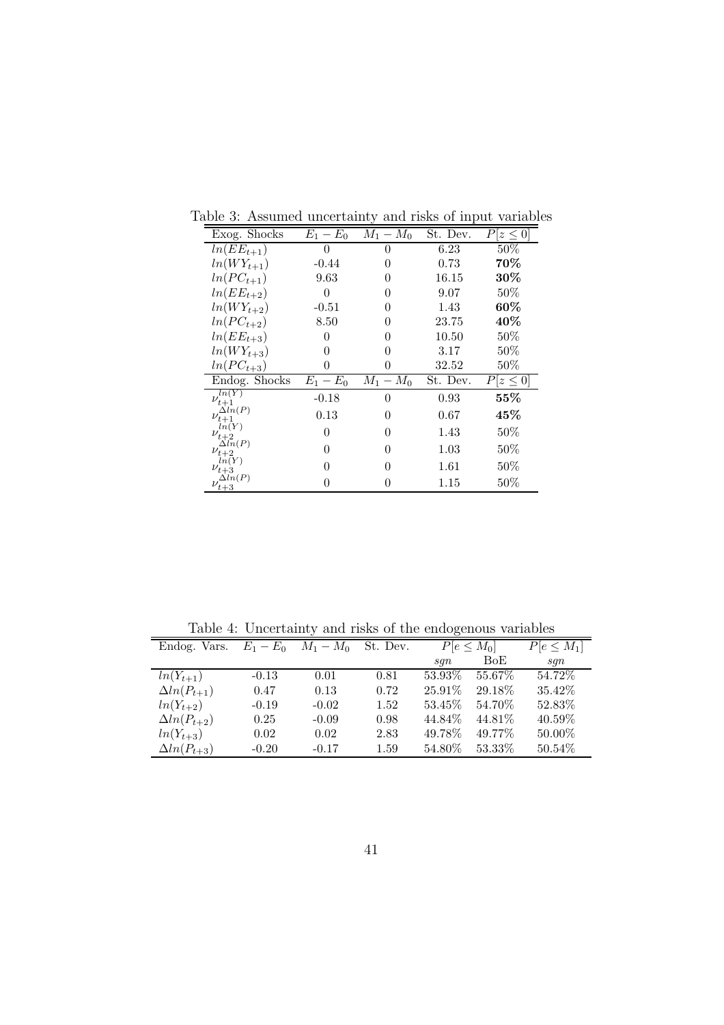| Exog. Shocks                  | $E_1 - E_0$          | $M_1 - M_0$ | St. Dev. | $P z\leq 0$   |
|-------------------------------|----------------------|-------------|----------|---------------|
| $ln(EE_{t+1})$                | O                    | 0           | 6.23     | $50\%$        |
| $ln(WY_{t+1})$                | $-0.44$              | 0           | 0.73     | 70%           |
| $ln(PC_{t+1})$                | 9.63                 | 0           | 16.15    | 30%           |
| $ln(EE_{t+2})$                | $\overline{0}$       | $\Omega$    | 9.07     | 50%           |
| $ln(WY_{t+2})$                | $-0.51$              | $\theta$    | 1.43     | $60\%$        |
| $ln(PC_{t+2})$                | 8.50                 | $\Omega$    | 23.75    | 40%           |
| $ln(EE_{t+3})$                | 0                    | 0           | 10.50    | 50%           |
| $ln(WY_{t+3})$                | 0                    | 0           | 3.17     | 50%           |
| $ln(PC_{t+3})$                | 0                    | 0           | 32.52    | 50%           |
| Endog. Shocks                 | $\overline{E}_1-E_0$ | $M_1-M_0$   | St. Dev. | $P[z \leq 0]$ |
| ln(Y)<br>$\nu_{t+1}$          | $-0.18$              | 0           | 0.93     | 55%           |
| $\Delta ln(P)$<br>$\nu_{t+1}$ | 0.13                 | 0           | 0.67     | 45%           |
| ln(Y)<br>$\nu_{t+2}$          | 0                    | 0           | 1.43     | 50%           |
| $\Delta ln(P)$<br>$\nu_{t+2}$ | 0                    | 0           | 1.03     | 50%           |
| ln(Y)<br>$\nu_{t+3}$          | 0                    | 0           | 1.61     | 50%           |
| $\nu_{t+3}^{\Delta in(P)}$    | 0                    |             | 1.15     | 50%           |

Table 3: Assumed uncertainty and risks of input variables

Table 4: Uncertainty and risks of the endogenous variables

| Taste 1. Officer and paint them of the endogenous ratiostes |           |             |          |                 |         |                 |  |  |
|-------------------------------------------------------------|-----------|-------------|----------|-----------------|---------|-----------------|--|--|
| Endog. Vars.                                                | $E_1-E_0$ | $M_1 - M_0$ | St. Dev. | $P[e \leq M_0]$ |         | $P[e \leq M_1]$ |  |  |
|                                                             |           |             |          | sgn             | BoE     | sgn             |  |  |
| $ln(Y_{t+1})$                                               | $-0.13$   | 0.01        | 0.81     | 53.93%          | 55.67%  | 54.72\%         |  |  |
| $\Delta ln(P_{t+1})$                                        | 0.47      | 0.13        | 0.72     | 25.91\%         | 29.18%  | 35.42\%         |  |  |
| $ln(Y_{t+2})$                                               | $-0.19$   | $-0.02$     | 1.52     | 53.45%          | 54.70\% | 52.83%          |  |  |
| $\Delta ln(P_{t+2})$                                        | 0.25      | $-0.09$     | 0.98     | 44.84\%         | 44.81\% | 40.59%          |  |  |
| $ln(Y_{t+3})$                                               | 0.02      | 0.02        | 2.83     | 49.78%          | 49.77%  | 50.00%          |  |  |
| $\Delta ln(P_{t+3})$                                        | $-0.20$   | $-0.17$     | $1.59\,$ | 54.80%          | 53.33%  | 50.54%          |  |  |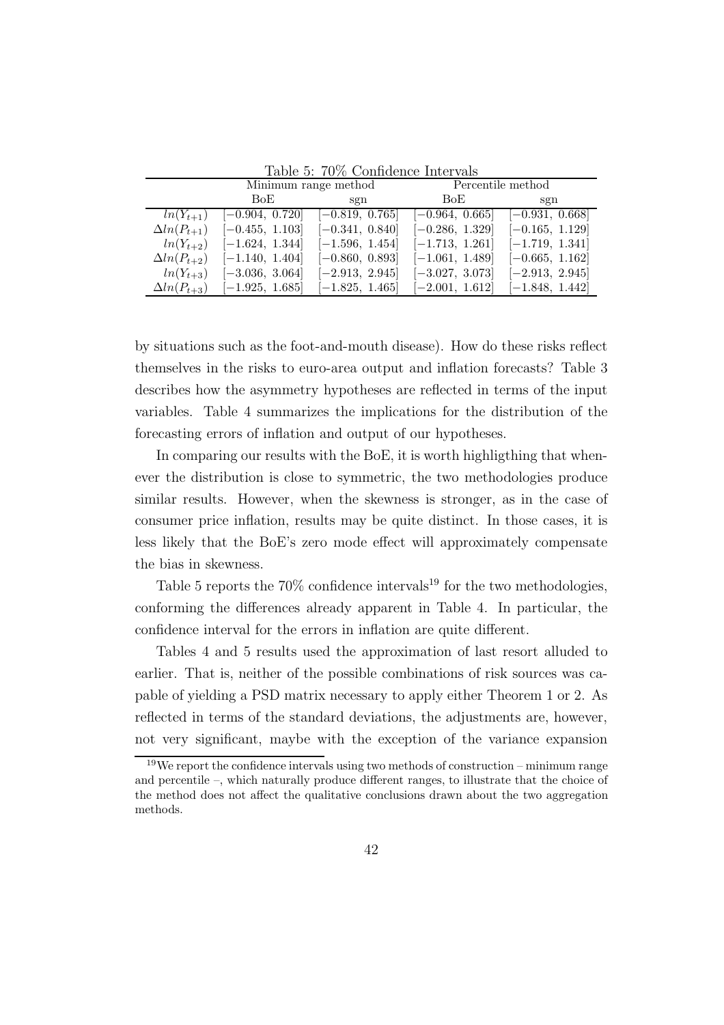|                      |                   | Minimum range method |                   | Percentile method |  |  |  |  |  |
|----------------------|-------------------|----------------------|-------------------|-------------------|--|--|--|--|--|
|                      | BoE               | sgn                  | BoE.              | sgn               |  |  |  |  |  |
| $ln(Y_{t+1})$        | $[-0.904, 0.720]$ | $[-0.819, 0.765]$    | $[-0.964, 0.665]$ | $[-0.931, 0.668]$ |  |  |  |  |  |
| $\Delta ln(P_{t+1})$ | $[-0.455, 1.103]$ | $[-0.341, 0.840]$    | $[-0.286, 1.329]$ | $[-0.165, 1.129]$ |  |  |  |  |  |
| $ln(Y_{t+2})$        | $[-1.624, 1.344]$ | $[-1.596, 1.454]$    | $[-1.713, 1.261]$ | $[-1.719, 1.341]$ |  |  |  |  |  |
| $\Delta ln(P_{t+2})$ | $[-1.140, 1.404]$ | $[-0.860, 0.893]$    | $[-1.061, 1.489]$ | $[-0.665, 1.162]$ |  |  |  |  |  |
| $ln(Y_{t+3})$        | $[-3.036, 3.064]$ | $[-2.913, 2.945]$    | $[-3.027, 3.073]$ | $[-2.913, 2.945]$ |  |  |  |  |  |
| $\Delta ln(P_{t+3})$ | $[-1.925, 1.685]$ | $[-1.825, 1.465]$    | $[-2.001, 1.612]$ | $[-1.848, 1.442]$ |  |  |  |  |  |

Table 5: 70% Confidence Intervals

by situations such as the foot-and-mouth disease). How do these risks reflect themselves in the risks to euro-area output and inflation forecasts? Table 3 describes how the asymmetry hypotheses are reflected in terms of the input variables. Table 4 summarizes the implications for the distribution of the forecasting errors of inflation and output of our hypotheses.

In comparing our results with the BoE, it is worth highligthing that whenever the distribution is close to symmetric, the two methodologies produce similar results. However, when the skewness is stronger, as in the case of consumer price inflation, results may be quite distinct. In those cases, it is less likely that the BoE's zero mode effect will approximately compensate the bias in skewness.

Table 5 reports the  $70\%$  confidence intervals<sup>19</sup> for the two methodologies, conforming the differences already apparent in Table 4. In particular, the confidence interval for the errors in inflation are quite different.

Tables 4 and 5 results used the approximation of last resort alluded to earlier. That is, neither of the possible combinations of risk sources was capable of yielding a PSD matrix necessary to apply either Theorem 1 or 2. As reflected in terms of the standard deviations, the adjustments are, however, not very significant, maybe with the exception of the variance expansion

 $19$ We report the confidence intervals using two methods of construction – minimum range and percentile –, which naturally produce different ranges, to illustrate that the choice of the method does not affect the qualitative conclusions drawn about the two aggregation methods.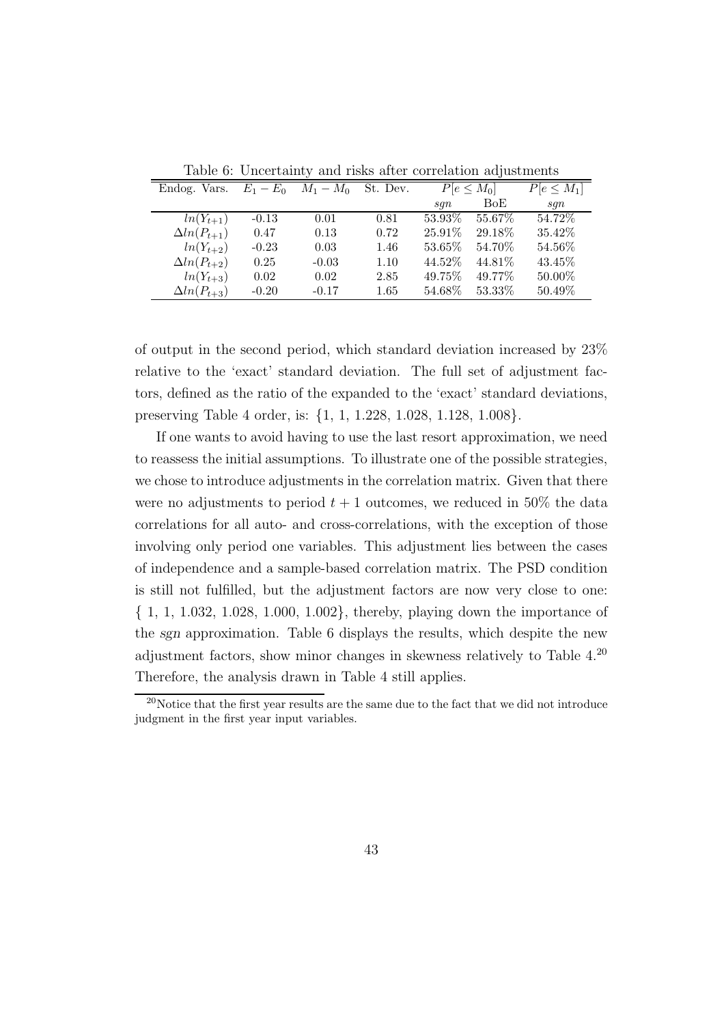| Endog. Vars.         |         | $E_1 - E_0$ $M_1 - M_0$ | St. Dev. | $P[e \leq M_0]$ |           | $P[e \leq M_1]$ |
|----------------------|---------|-------------------------|----------|-----------------|-----------|-----------------|
|                      |         |                         |          | sgn             | BoE       | sgn             |
| $ln(Y_{t+1})$        | $-0.13$ | 0.01                    | 0.81     | 53.93\%         | $55.67\%$ | 54.72\%         |
| $\Delta ln(P_{t+1})$ | 0.47    | 0.13                    | 0.72     | 25.91%          | 29.18\%   | 35.42\%         |
| $ln(Y_{t+2})$        | $-0.23$ | 0.03                    | 1.46     | 53.65%          | 54.70%    | 54.56%          |
| $\Delta ln(P_{t+2})$ | 0.25    | $-0.03$                 | 1.10     | 44.52%          | 44.81\%   | 43.45\%         |
| $ln(Y_{t+3})$        | 0.02    | 0.02                    | 2.85     | 49.75%          | 49.77%    | 50.00%          |
| $\Delta ln(P_{t+3})$ | $-0.20$ | $-0.17$                 | $1.65\,$ | 54.68%          | 53.33%    | 50.49%          |

Table 6: Uncertainty and risks after correlation adjustments

of output in the second period, which standard deviation increased by 23% relative to the 'exact' standard deviation. The full set of adjustment factors, defined as the ratio of the expanded to the 'exact' standard deviations, preserving Table 4 order, is: {1, 1, 1.228, 1.028, 1.128, 1.008}.

If one wants to avoid having to use the last resort approximation, we need to reassess the initial assumptions. To illustrate one of the possible strategies, we chose to introduce adjustments in the correlation matrix. Given that there were no adjustments to period  $t + 1$  outcomes, we reduced in 50% the data correlations for all auto- and cross-correlations, with the exception of those involving only period one variables. This adjustment lies between the cases of independence and a sample-based correlation matrix. The PSD condition is still not fulfilled, but the adjustment factors are now very close to one: { 1, 1, 1.032, 1.028, 1.000, 1.002}, thereby, playing down the importance of the sgn approximation. Table 6 displays the results, which despite the new adjustment factors, show minor changes in skewness relatively to Table 4.<sup>20</sup> Therefore, the analysis drawn in Table 4 still applies.

<sup>20</sup>Notice that the first year results are the same due to the fact that we did not introduce judgment in the first year input variables.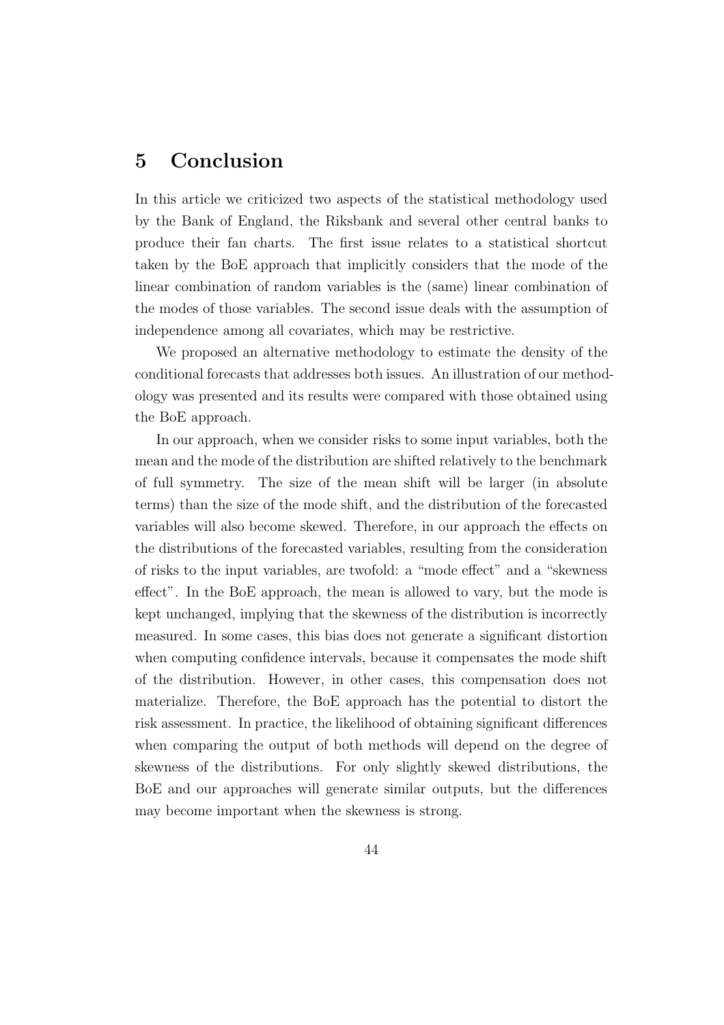### 5 Conclusion

In this article we criticized two aspects of the statistical methodology used by the Bank of England, the Riksbank and several other central banks to produce their fan charts. The first issue relates to a statistical shortcut taken by the BoE approach that implicitly considers that the mode of the linear combination of random variables is the (same) linear combination of the modes of those variables. The second issue deals with the assumption of independence among all covariates, which may be restrictive.

We proposed an alternative methodology to estimate the density of the conditional forecasts that addresses both issues. An illustration of our methodology was presented and its results were compared with those obtained using the BoE approach.

In our approach, when we consider risks to some input variables, both the mean and the mode of the distribution are shifted relatively to the benchmark of full symmetry. The size of the mean shift will be larger (in absolute terms) than the size of the mode shift, and the distribution of the forecasted variables will also become skewed. Therefore, in our approach the effects on the distributions of the forecasted variables, resulting from the consideration of risks to the input variables, are twofold: a "mode effect" and a "skewness effect". In the BoE approach, the mean is allowed to vary, but the mode is kept unchanged, implying that the skewness of the distribution is incorrectly measured. In some cases, this bias does not generate a significant distortion when computing confidence intervals, because it compensates the mode shift of the distribution. However, in other cases, this compensation does not materialize. Therefore, the BoE approach has the potential to distort the risk assessment. In practice, the likelihood of obtaining significant differences when comparing the output of both methods will depend on the degree of skewness of the distributions. For only slightly skewed distributions, the BoE and our approaches will generate similar outputs, but the differences may become important when the skewness is strong.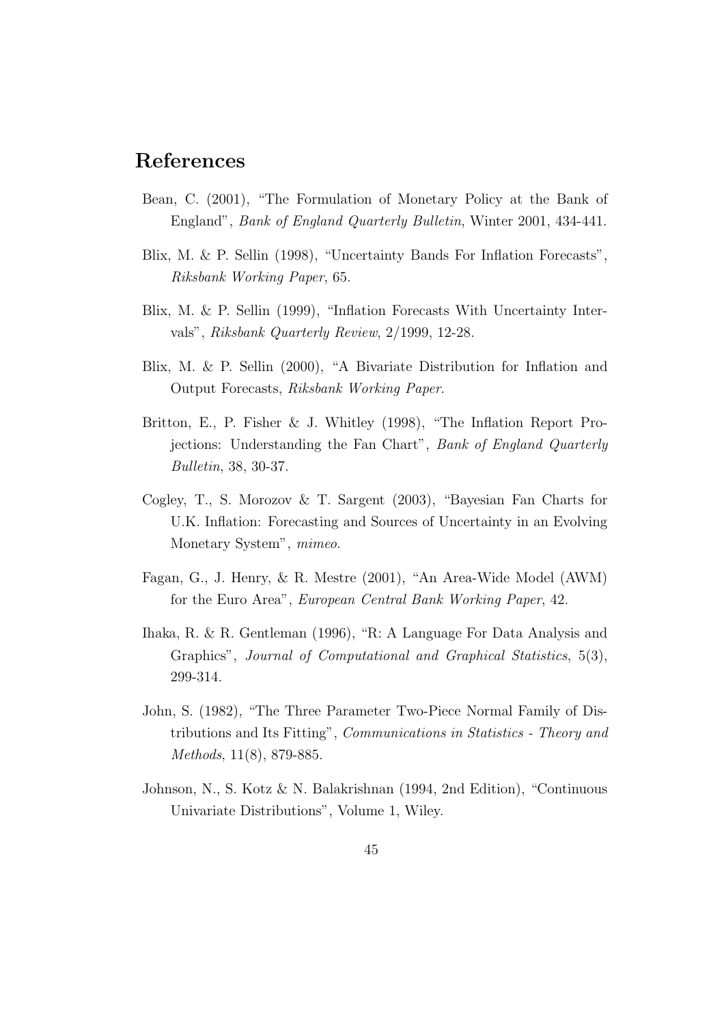### References

- Bean, C. (2001), "The Formulation of Monetary Policy at the Bank of England", Bank of England Quarterly Bulletin, Winter 2001, 434-441.
- Blix, M. & P. Sellin (1998), "Uncertainty Bands For Inflation Forecasts", Riksbank Working Paper, 65.
- Blix, M. & P. Sellin (1999), "Inflation Forecasts With Uncertainty Intervals", Riksbank Quarterly Review, 2/1999, 12-28.
- Blix, M. & P. Sellin (2000), "A Bivariate Distribution for Inflation and Output Forecasts, Riksbank Working Paper.
- Britton, E., P. Fisher & J. Whitley (1998), "The Inflation Report Projections: Understanding the Fan Chart", Bank of England Quarterly Bulletin, 38, 30-37.
- Cogley, T., S. Morozov & T. Sargent (2003), "Bayesian Fan Charts for U.K. Inflation: Forecasting and Sources of Uncertainty in an Evolving Monetary System", mimeo.
- Fagan, G., J. Henry, & R. Mestre (2001), "An Area-Wide Model (AWM) for the Euro Area", European Central Bank Working Paper, 42.
- Ihaka, R. & R. Gentleman (1996), "R: A Language For Data Analysis and Graphics", Journal of Computational and Graphical Statistics, 5(3), 299-314.
- John, S. (1982), "The Three Parameter Two-Piece Normal Family of Distributions and Its Fitting", Communications in Statistics - Theory and Methods, 11(8), 879-885.
- Johnson, N., S. Kotz & N. Balakrishnan (1994, 2nd Edition), "Continuous Univariate Distributions", Volume 1, Wiley.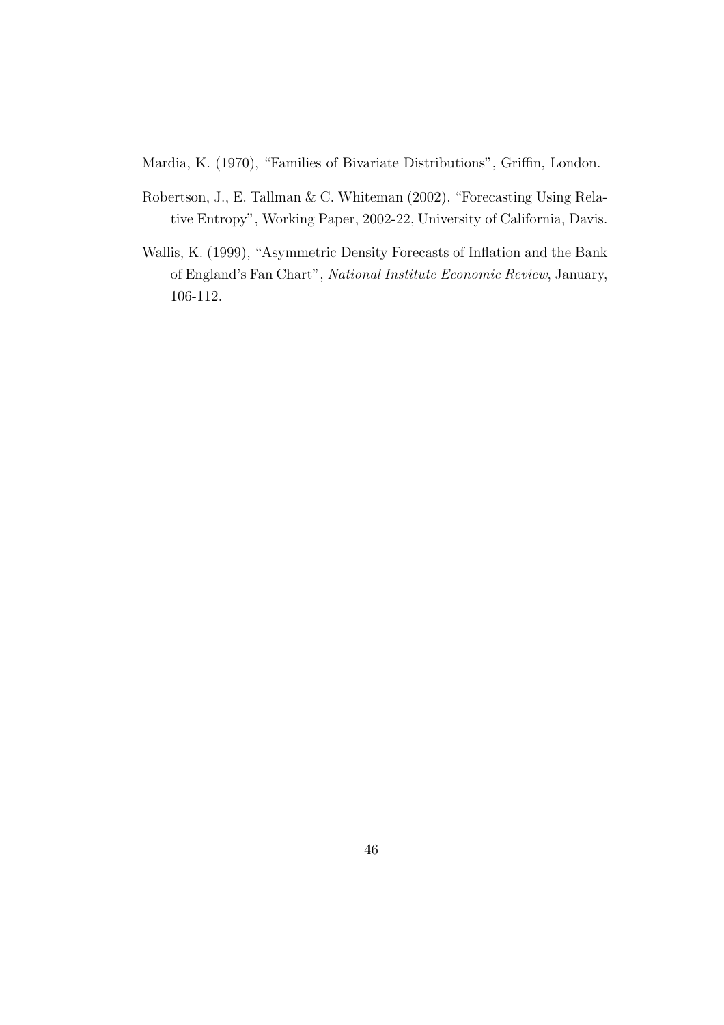Mardia, K. (1970), "Families of Bivariate Distributions", Griffin, London.

- Robertson, J., E. Tallman & C. Whiteman (2002), "Forecasting Using Relative Entropy", Working Paper, 2002-22, University of California, Davis.
- Wallis, K. (1999), "Asymmetric Density Forecasts of Inflation and the Bank of England's Fan Chart", National Institute Economic Review, January, 106-112.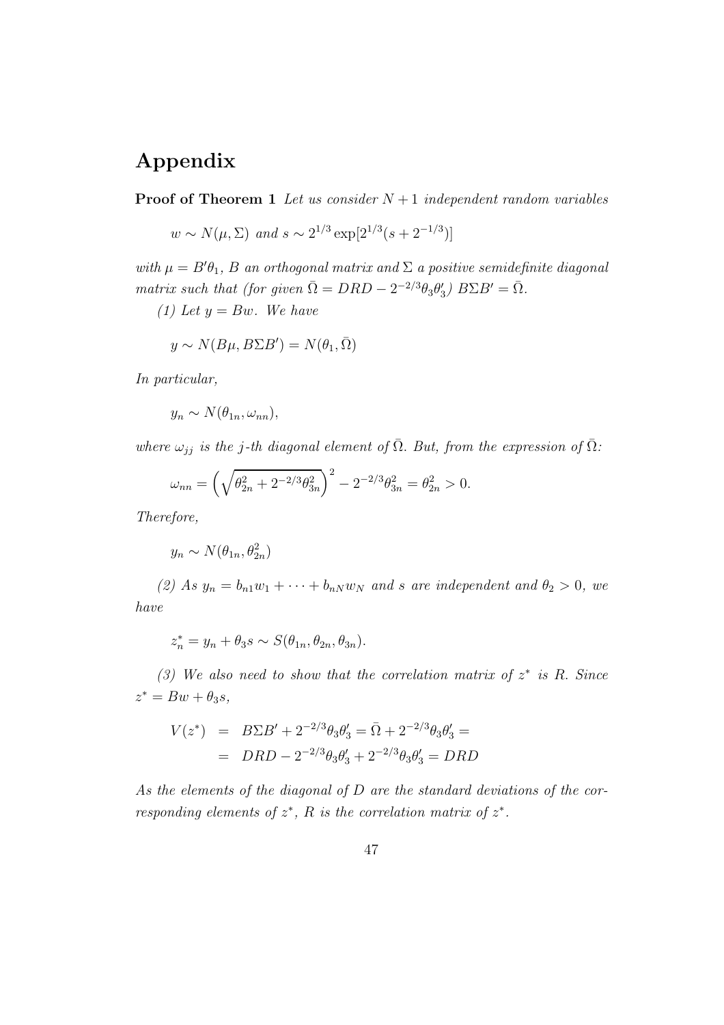## Appendix

**Proof of Theorem 1** Let us consider  $N+1$  independent random variables

$$
w \sim N(\mu, \Sigma)
$$
 and  $s \sim 2^{1/3} \exp[2^{1/3}(s+2^{-1/3})]$ 

with  $\mu = B'\theta_1$ , B an orthogonal matrix and  $\Sigma$  a positive semidefinite diagonal matrix such that (for given  $\overline{\Omega} = DRD - 2^{-2/3}\theta_3\theta'_3$ )  $B\Sigma B' = \overline{\Omega}$ .

(1) Let  $y = Bw$ . We have

$$
y \sim N(B\mu, B\Sigma B') = N(\theta_1, \bar{\Omega})
$$

In particular,

$$
y_n \sim N(\theta_{1n}, \omega_{nn}),
$$

where  $\omega_{jj}$  is the j-th diagonal element of  $\overline{\Omega}$ . But, from the expression of  $\overline{\Omega}$ :

$$
\omega_{nn} = \left(\sqrt{\theta_{2n}^2 + 2^{-2/3} \theta_{3n}^2}\right)^2 - 2^{-2/3} \theta_{3n}^2 = \theta_{2n}^2 > 0.
$$

Therefore,

 $y_n \sim N(\theta_{1n}, \theta_{2n}^2)$ 

(2) As  $y_n = b_{n1}w_1 + \cdots + b_{nN}w_N$  and s are independent and  $\theta_2 > 0$ , we have

$$
z_n^* = y_n + \theta_3 s \sim S(\theta_{1n}, \theta_{2n}, \theta_{3n}).
$$

(3) We also need to show that the correlation matrix of  $z^*$  is R. Since  $z^* = Bw + \theta_3 s,$ 

$$
V(z^*) = B\Sigma B' + 2^{-2/3}\theta_3 \theta'_3 = \overline{\Omega} + 2^{-2/3}\theta_3 \theta'_3 =
$$
  
= 
$$
DRD - 2^{-2/3}\theta_3 \theta'_3 + 2^{-2/3}\theta_3 \theta'_3 = DRD
$$

As the elements of the diagonal of D are the standard deviations of the corresponding elements of  $z^*$ , R is the correlation matrix of  $z^*$ .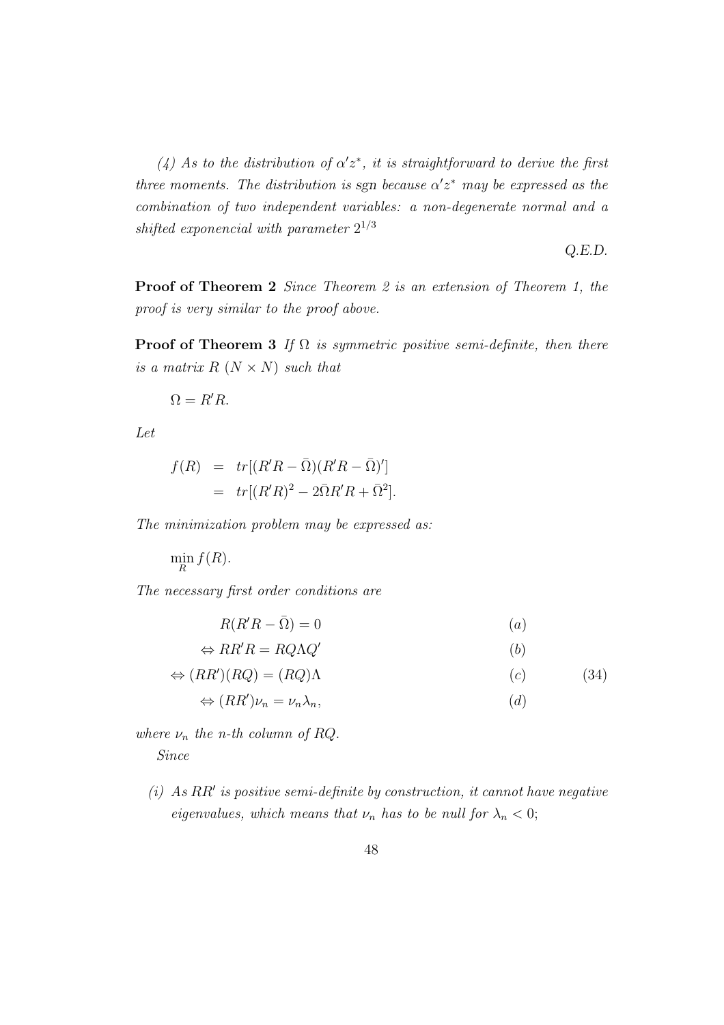(4) As to the distribution of  $\alpha' z^*$ , it is straightforward to derive the first three moments. The distribution is sgn because  $\alpha' z^*$  may be expressed as the combination of two independent variables: a non-degenerate normal and a shifted exponencial with parameter  $2^{1/3}$ 

Q.E.D.

Proof of Theorem 2 Since Theorem 2 is an extension of Theorem 1, the proof is very similar to the proof above.

**Proof of Theorem 3** If  $\Omega$  is symmetric positive semi-definite, then there is a matrix  $R$   $(N \times N)$  such that

 $\Omega = R'R$ .

Let

$$
f(R) = tr[(R'R - \overline{\Omega})(R'R - \overline{\Omega})']
$$
  
=  $tr[(R'R)^2 - 2\overline{\Omega}R'R + \overline{\Omega}^2].$ 

The minimization problem may be expressed as:

 $\min_R f(R)$ .

The necessary first order conditions are

$$
R(R'R - \bar{\Omega}) = 0 \tag{a}
$$

$$
\Leftrightarrow RR'R = RQ\Lambda Q' \tag{b}
$$

$$
\Leftrightarrow (RR')(RQ) = (RQ)\Lambda \tag{34}
$$

$$
\Leftrightarrow (RR')\nu_n = \nu_n \lambda_n,\tag{d}
$$

where  $\nu_n$  the n-th column of RQ. Since

 $(i)$  As RR' is positive semi-definite by construction, it cannot have negative eigenvalues, which means that  $\nu_n$  has to be null for  $\lambda_n < 0$ ;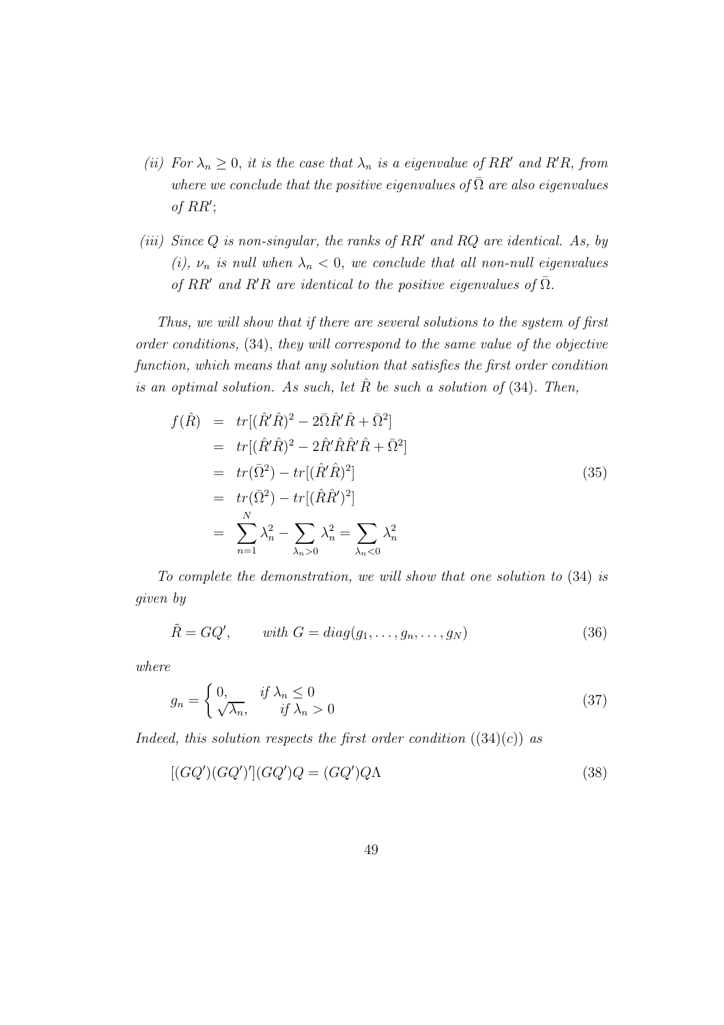- (ii) For  $\lambda_n \geq 0$ , it is the case that  $\lambda_n$  is a eigenvalue of RR' and R'R, from where we conclude that the positive eigenvalues of  $\overline{\Omega}$  are also eigenvalues of  $RR'$ ;
- (iii) Since  $Q$  is non-singular, the ranks of  $RR'$  and  $RQ$  are identical. As, by (i),  $\nu_n$  is null when  $\lambda_n < 0$ , we conclude that all non-null eigenvalues of RR' and R'R are identical to the positive eigenvalues of  $\overline{\Omega}$ .

Thus, we will show that if there are several solutions to the system of first order conditions, (34), they will correspond to the same value of the objective function, which means that any solution that satisfies the first order condition is an optimal solution. As such, let  $\hat{R}$  be such a solution of (34). Then,

$$
f(\hat{R}) = tr[(\hat{R}'\hat{R})^2 - 2\bar{\Omega}\hat{R}'\hat{R} + \bar{\Omega}^2]
$$
  
\n
$$
= tr[(\hat{R}'\hat{R})^2 - 2\hat{R}'\hat{R}\hat{R}'\hat{R} + \bar{\Omega}^2]
$$
  
\n
$$
= tr(\bar{\Omega}^2) - tr[(\hat{R}'\hat{R})^2]
$$
  
\n
$$
= tr(\bar{\Omega}^2) - tr[(\hat{R}\hat{R}')^2]
$$
  
\n
$$
= \sum_{n=1}^{N} \lambda_n^2 - \sum_{\lambda_n > 0} \lambda_n^2 = \sum_{\lambda_n < 0} \lambda_n^2
$$
 (35)

To complete the demonstration, we will show that one solution to (34) is given by

$$
\tilde{R} = GQ', \qquad with \ G = diag(g_1, \dots, g_n, \dots, g_N)
$$
\n(36)

where

$$
g_n = \begin{cases} 0, & \text{if } \lambda_n \le 0 \\ \sqrt{\lambda_n}, & \text{if } \lambda_n > 0 \end{cases}
$$
 (37)

Indeed, this solution respects the first order condition  $((34)(c))$  as

$$
[(GQ')(GQ')'] (GQ')Q = (GQ')Q\Lambda
$$
\n(38)